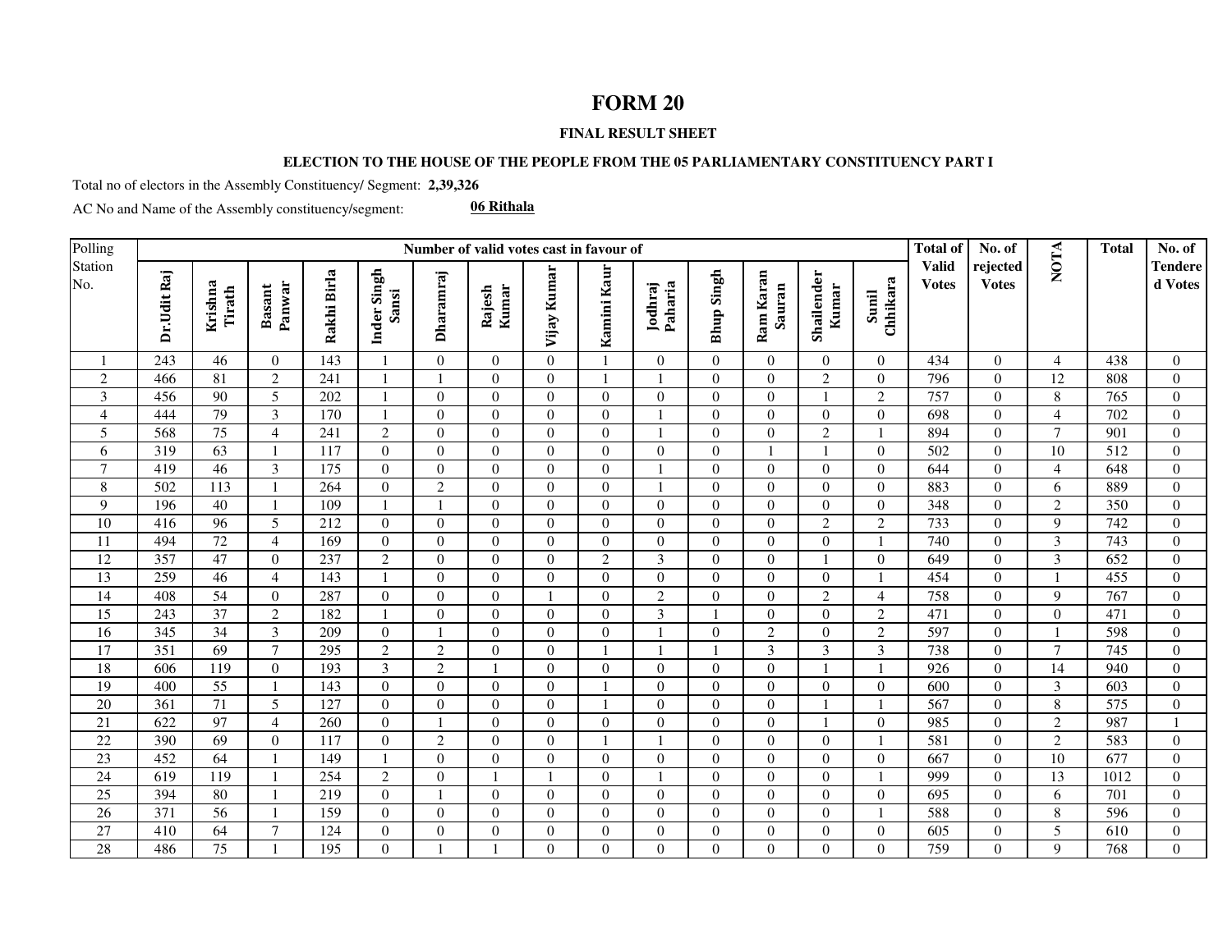## **FORM 20**

## **FINAL RESULT SHEET**

## **ELECTION TO THE HOUSE OF THE PEOPLE FROM THE 05 PARLIAMENTARY CONSTITUENCY PART I**

Total no of electors in the Assembly Constituency/ Segment: **2,39,326**

AC No and Name of the Assembly constituency/segment:

**06 Rithala**

| Polling         |                  |                   |                         |                  |                      |                  | Number of valid votes cast in favour of |                |                |                    |                   |                     |                     |                   | <b>Total of</b>              | No. of                   |                 | <b>Total</b> | No. of                    |
|-----------------|------------------|-------------------|-------------------------|------------------|----------------------|------------------|-----------------------------------------|----------------|----------------|--------------------|-------------------|---------------------|---------------------|-------------------|------------------------------|--------------------------|-----------------|--------------|---------------------------|
| Station<br>No.  | Dr.Udit Raj      | Krishna<br>Tirath | Panwar<br><b>Basant</b> | Rakhi Birla      | Inder Singh<br>Sansi | Dharamraj        | Kumar<br>Rajesh                         | Vijay Kumar    | Kamini Kaur    | Jodhraj<br>Paharia | <b>Bhup Singh</b> | Ram Karan<br>Sauran | Shailender<br>Kumar | Chhikara<br>Sunil | <b>Valid</b><br><b>Votes</b> | rejected<br><b>Votes</b> | <b>NOTA</b>     |              | <b>Tendere</b><br>d Votes |
|                 | 243              | 46                | $\overline{0}$          | 143              |                      | $\overline{0}$   | $\overline{0}$                          | $\Omega$       |                | $\Omega$           | $\overline{0}$    | $\overline{0}$      | $\theta$            | $\Omega$          | 434                          | $\theta$                 | $\overline{4}$  | 438          | $\overline{0}$            |
| $\mathfrak{2}$  | 466              | 81                | 2                       | 241              |                      |                  | $\overline{0}$                          | $\theta$       | $\mathbf{1}$   |                    | $\Omega$          | $\overline{0}$      | $\overline{2}$      | $\Omega$          | 796                          | $\Omega$                 | 12              | 808          | $\Omega$                  |
| 3               | 456              | 90                | 5                       | 202              |                      | $\boldsymbol{0}$ | $\overline{0}$                          | $\overline{0}$ | $\overline{0}$ | $\overline{0}$     | $\overline{0}$    | $\boldsymbol{0}$    |                     | $\overline{2}$    | 757                          | $\overline{0}$           | $\,8\,$         | 765          | $\overline{0}$            |
| $\overline{4}$  | 444              | 79                | 3                       | 170              |                      | $\mathbf{0}$     | $\overline{0}$                          | $\theta$       | $\theta$       |                    | $\boldsymbol{0}$  | $\boldsymbol{0}$    | $\theta$            | $\Omega$          | 698                          | $\overline{0}$           | $\overline{4}$  | 702          | $\Omega$                  |
| 5               | 568              | $\overline{75}$   | $\overline{4}$          | 241              | 2                    | $\mathbf{0}$     | $\overline{0}$                          | $\Omega$       | $\theta$       |                    | $\theta$          | $\overline{0}$      | 2                   |                   | 894                          | $\Omega$                 | $\tau$          | 901          | $\Omega$                  |
| 6               | 319              | 63                |                         | 117              | $\overline{0}$       | $\mathbf{0}$     | $\overline{0}$                          | $\theta$       | $\Omega$       | $\overline{0}$     | $\overline{0}$    | $\mathbf{1}$        |                     | $\Omega$          | 502                          | $\overline{0}$           | 10              | 512          | $\overline{0}$            |
| $\overline{7}$  | 419              | $\overline{46}$   | $\overline{\mathbf{3}}$ | $\overline{175}$ | $\theta$             | $\boldsymbol{0}$ | $\overline{0}$                          | $\theta$       | $\Omega$       |                    | $\boldsymbol{0}$  | $\boldsymbol{0}$    | $\theta$            | $\Omega$          | 644                          | $\overline{0}$           | $\overline{4}$  | 648          | $\Omega$                  |
| $\,8\,$         | 502              | 113               |                         | 264              | $\overline{0}$       | $\overline{2}$   | $\overline{0}$                          | $\theta$       | $\Omega$       |                    | $\overline{0}$    | $\overline{0}$      | $\theta$            | $\Omega$          | 883                          | $\Omega$                 | 6               | 889          | $\Omega$                  |
| $\mathbf{9}$    | 196              | 40                |                         | 109              |                      |                  | $\overline{0}$                          | $\theta$       | $\Omega$       | $\theta$           | $\theta$          | $\boldsymbol{0}$    | $\Omega$            | $\Omega$          | 348                          | $\overline{0}$           | $\overline{c}$  | 350          | $\Omega$                  |
| $\overline{10}$ | 416              | 96                | 5                       | 212              | $\overline{0}$       | $\overline{0}$   | $\overline{0}$                          | $\theta$       | $\theta$       | $\theta$           | $\overline{0}$    | $\boldsymbol{0}$    | $\overline{2}$      | $\mathbf{2}$      | 733                          | $\overline{0}$           | 9               | 742          | $\overline{0}$            |
| 11              | 494              | 72                | $\overline{4}$          | 169              | $\theta$             | $\overline{0}$   | $\overline{0}$                          | $\theta$       | $\Omega$       | $\theta$           | $\overline{0}$    | $\boldsymbol{0}$    | $\Omega$            |                   | 740                          | $\Omega$                 | 3               | 743          | $\Omega$                  |
| $\overline{12}$ | 357              | 47                | $\theta$                | 237              | $\overline{2}$       | $\mathbf{0}$     | $\overline{0}$                          | $\theta$       | 2              | 3                  | $\overline{0}$    | $\boldsymbol{0}$    |                     | $\Omega$          | 649                          | $\Omega$                 | 3               | 652          | $\Omega$                  |
| 13              | 259              | 46                | $\overline{4}$          | 143              |                      | $\overline{0}$   | $\mathbf{0}$                            | $\overline{0}$ | $\overline{0}$ | $\overline{0}$     | $\overline{0}$    | $\overline{0}$      | $\overline{0}$      |                   | 454                          | $\overline{0}$           |                 | 455          | $\overline{0}$            |
| 14              | 408              | 54                | $\mathbf{0}$            | 287              | $\overline{0}$       | $\boldsymbol{0}$ | $\boldsymbol{0}$                        |                | $\Omega$       | $\mathfrak{2}$     | $\overline{0}$    | $\boldsymbol{0}$    | $\overline{2}$      | $\overline{4}$    | 758                          | $\overline{0}$           | 9               | 767          | $\Omega$                  |
| $\overline{15}$ | 243              | 37                | $\overline{2}$          | 182              |                      | $\mathbf{0}$     | $\boldsymbol{0}$                        | $\theta$       | $\Omega$       | $\mathfrak{Z}$     |                   | $\boldsymbol{0}$    | $\Omega$            | $\overline{2}$    | 471                          | $\overline{0}$           | $\Omega$        | 471          | $\Omega$                  |
| $\overline{16}$ | 345              | 34                | 3                       | 209              | $\Omega$             | $\mathbf{1}$     | $\Omega$                                | $\theta$       | $\theta$       |                    | $\Omega$          | $\overline{2}$      | $\Omega$            | 2                 | 597                          | $\theta$                 |                 | 598          | $\Omega$                  |
| 17              | 351              | 69                | $\tau$                  | 295              | $\overline{2}$       | $\overline{2}$   | $\overline{0}$                          | $\theta$       | $\mathbf{1}$   |                    | $\overline{1}$    | $\mathfrak{Z}$      | 3                   | 3                 | 738                          | $\overline{0}$           | $\tau$          | 745          | $\overline{0}$            |
| 18              | 606              | 119               | $\theta$                | 193              | $\overline{3}$       | $\overline{2}$   |                                         | $\Omega$       | $\Omega$       | $\Omega$           | $\boldsymbol{0}$  | $\boldsymbol{0}$    |                     |                   | 926                          | $\Omega$                 | 14              | 940          | $\Omega$                  |
| 19              | 400              | 55                |                         | 143              | $\Omega$             | $\mathbf{0}$     | $\overline{0}$                          | $\theta$       |                | $\theta$           | $\overline{0}$    | $\overline{0}$      | $\Omega$            | $\Omega$          | 600                          | $\theta$                 | 3               | 603          | $\Omega$                  |
| 20              | 361              | 71                | 5                       | 127              | $\overline{0}$       | $\boldsymbol{0}$ | $\boldsymbol{0}$                        | $\mathbf{0}$   |                | $\overline{0}$     | $\boldsymbol{0}$  | $\boldsymbol{0}$    |                     |                   | 567                          | $\overline{0}$           | $\,8\,$         | 575          | $\Omega$                  |
| 21              | 622              | 97                | $\overline{4}$          | 260              | $\theta$             |                  | $\overline{0}$                          | $\theta$       | $\Omega$       | $\theta$           | $\overline{0}$    | $\boldsymbol{0}$    |                     | $\Omega$          | 985                          | $\Omega$                 | $\overline{2}$  | 987          |                           |
| $22\,$          | 390              | 69                | $\theta$                | 117              | $\theta$             | $\overline{2}$   | $\overline{0}$                          | $\theta$       | $\mathbf{1}$   |                    | $\Omega$          | $\overline{0}$      | $\Omega$            |                   | 581                          | $\theta$                 | $\overline{2}$  | 583          | $\Omega$                  |
| $\overline{23}$ | 452              | 64                |                         | 149              |                      | $\overline{0}$   | $\overline{0}$                          | $\mathbf{0}$   | $\overline{0}$ | $\overline{0}$     | $\overline{0}$    | $\overline{0}$      | $\Omega$            | $\mathbf{0}$      | 667                          | $\overline{0}$           | 10              | 677          | $\overline{0}$            |
| $\overline{24}$ | 619              | 119               |                         | 254              | $\overline{2}$       | $\boldsymbol{0}$ |                                         |                | $\Omega$       |                    | $\overline{0}$    | $\boldsymbol{0}$    | $\Omega$            |                   | 999                          | $\overline{0}$           | 13              | 1012         | $\Omega$                  |
| $\overline{25}$ | 394              | 80                |                         | 219              | $\theta$             | $\mathbf{1}$     | $\mathbf{0}$                            | $\Omega$       | $\Omega$       | $\Omega$           | $\Omega$          | $\boldsymbol{0}$    | $\theta$            | $\Omega$          | 695                          | $\Omega$                 | 6               | 701          | $\Omega$                  |
| 26              | $\overline{371}$ | 56                |                         | 159              | $\Omega$             | $\overline{0}$   | $\overline{0}$                          | $\theta$       | $\Omega$       | $\theta$           | $\overline{0}$    | $\overline{0}$      | $\Omega$            |                   | 588                          | $\Omega$                 | 8               | 596          | $\Omega$                  |
| $\overline{27}$ | 410              | 64                | $\tau$                  | 124              | $\overline{0}$       | $\boldsymbol{0}$ | $\overline{0}$                          | $\theta$       | $\theta$       | $\overline{0}$     | $\boldsymbol{0}$  | $\boldsymbol{0}$    | $\Omega$            | $\Omega$          | 605                          | $\overline{0}$           | $5\overline{)}$ | 610          | $\overline{0}$            |
| $\overline{28}$ | 486              | $\overline{75}$   |                         | 195              | $\Omega$             |                  |                                         | $\Omega$       | $\Omega$       | $\Omega$           | $\Omega$          | $\overline{0}$      | $\Omega$            | $\Omega$          | 759                          | $\Omega$                 | 9               | 768          | $\Omega$                  |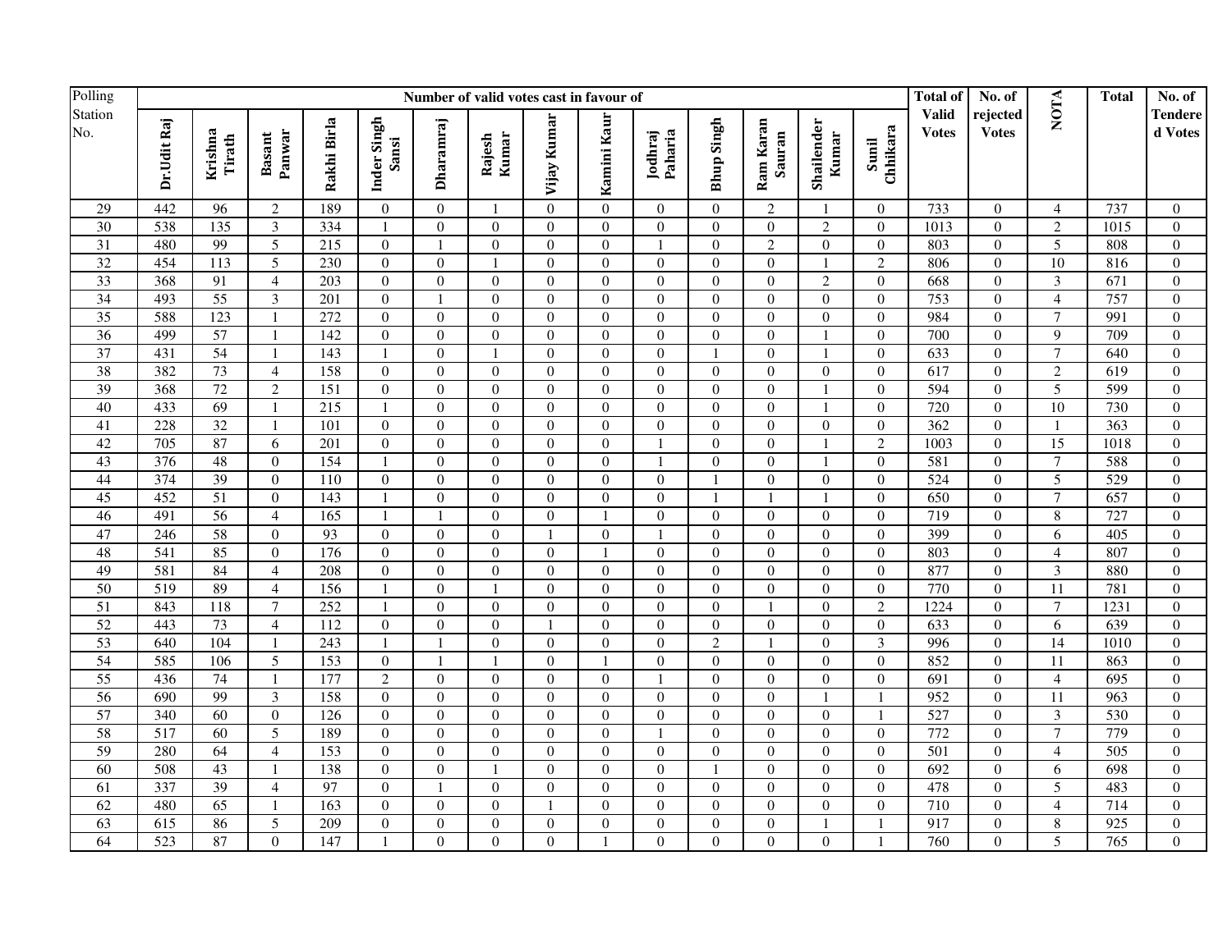| Polling         |                  | Number of valid votes cast in favour of |                         |                 |                      |                  |                  |                  |                  |                    |                  |                     |                     |                         |                              | No. of                   |                         | <b>Total</b>     | No. of             |
|-----------------|------------------|-----------------------------------------|-------------------------|-----------------|----------------------|------------------|------------------|------------------|------------------|--------------------|------------------|---------------------|---------------------|-------------------------|------------------------------|--------------------------|-------------------------|------------------|--------------------|
| Station<br>No.  | Dr.Udit Raj      | Krishna<br>Tirath                       | Panwar<br><b>Basant</b> | Rakhi Birla     | Inder Singh<br>Sansi | Dharamraj        | Kumar<br>Rajesh  | Vijay Kumar      | Kamini Kaur      | Paharia<br>Jodhraj | Bhup Singh       | Ram Karan<br>Sauran | Shailender<br>Kumar | Sunil<br>Chhikara       | <b>Valid</b><br><b>Votes</b> | rejected<br><b>Votes</b> | <b>NOTA</b>             |                  | Tendere<br>d Votes |
| 29              | 442              | 96                                      | 2                       | 189             | $\overline{0}$       | $\overline{0}$   | 1                | $\Omega$         | $\overline{0}$   | $\overline{0}$     | $\overline{0}$   | 2                   |                     | $\overline{0}$          | 733                          | $\overline{0}$           | $\overline{4}$          | 737              | $\overline{0}$     |
| $\overline{30}$ | 538              | 135                                     | $\mathfrak{Z}$          | 334             | 1                    | $\overline{0}$   | $\overline{0}$   | $\Omega$         | $\Omega$         | $\overline{0}$     | $\overline{0}$   | $\overline{0}$      | 2                   | $\theta$                | 1013                         | $\mathbf{0}$             | $\overline{2}$          | 1015             | $\mathbf{0}$       |
| $\overline{31}$ | 480              | 99                                      | $\overline{5}$          | 215             | $\boldsymbol{0}$     | $\mathbf{1}$     | $\boldsymbol{0}$ | $\overline{0}$   | $\overline{0}$   | $\mathbf{1}$       | $\boldsymbol{0}$ | $\overline{c}$      | $\boldsymbol{0}$    | $\overline{0}$          | 803                          | $\boldsymbol{0}$         | 5                       | 808              | $\boldsymbol{0}$   |
| 32              | 454              | 113                                     | 5                       | 230             | $\boldsymbol{0}$     | $\boldsymbol{0}$ | $\mathbf{1}$     | $\Omega$         | $\Omega$         | $\Omega$           | $\Omega$         | $\boldsymbol{0}$    |                     | $\overline{2}$          | 806                          | $\Omega$                 | 10                      | 816              | $\boldsymbol{0}$   |
| 33              | 368              | 91                                      | $\overline{4}$          | 203             | $\overline{0}$       | $\overline{0}$   | $\boldsymbol{0}$ | $\theta$         | $\theta$         | $\overline{0}$     | $\overline{0}$   | $\boldsymbol{0}$    | 2                   | $\overline{0}$          | 668                          | $\overline{0}$           | $\overline{\mathbf{3}}$ | 671              | $\overline{0}$     |
| 34              | 493              | 55                                      | $\overline{3}$          | 201             | $\overline{0}$       | $\overline{1}$   | $\overline{0}$   | $\Omega$         | $\Omega$         | $\Omega$           | $\boldsymbol{0}$ | $\overline{0}$      | $\Omega$            | $\Omega$                | 753                          | $\overline{0}$           | $\overline{4}$          | 757              | $\overline{0}$     |
| 35              | 588              | 123                                     |                         | 272             | $\mathbf{0}$         | $\boldsymbol{0}$ | $\boldsymbol{0}$ | $\Omega$         | $\boldsymbol{0}$ | $\overline{0}$     | $\mathbf{0}$     | $\boldsymbol{0}$    | $\mathbf{0}$        | $\mathbf{0}$            | 984                          | $\overline{0}$           | $\overline{7}$          | 991              | $\overline{0}$     |
| 36              | 499              | 57                                      | $\overline{1}$          | 142             | $\mathbf{0}$         | $\boldsymbol{0}$ | $\boldsymbol{0}$ | $\Omega$         | $\boldsymbol{0}$ | $\overline{0}$     | $\boldsymbol{0}$ | $\boldsymbol{0}$    |                     | $\mathbf{0}$            | 700                          | $\overline{0}$           | 9                       | 709              | $\mathbf{0}$       |
| 37              | 431              | 54                                      | -1                      | 143             | -1                   | $\boldsymbol{0}$ | $\mathbf{1}$     | $\overline{0}$   | $\theta$         | $\overline{0}$     |                  | $\boldsymbol{0}$    |                     | $\overline{0}$          | 633                          | $\mathbf{0}$             | $\tau$                  | 640              | $\mathbf{0}$       |
| 38              | 382              | 73                                      | $\overline{4}$          | 158             | $\Omega$             | $\boldsymbol{0}$ | $\boldsymbol{0}$ | $\Omega$         | $\Omega$         | $\Omega$           | $\boldsymbol{0}$ | $\boldsymbol{0}$    | $\Omega$            | $\Omega$                | 617                          | $\theta$                 | $\overline{c}$          | 619              | $\theta$           |
| 39              | 368              | 72                                      | $\overline{c}$          | 151             | $\overline{0}$       | $\overline{0}$   | $\boldsymbol{0}$ | $\theta$         | $\Omega$         | $\Omega$           | $\overline{0}$   | $\boldsymbol{0}$    |                     | $\theta$                | 594                          | $\overline{0}$           | 5                       | 599              | $\mathbf{0}$       |
| 40              | 433              | 69                                      | $\overline{1}$          | 215             | $\mathbf{1}$         | $\boldsymbol{0}$ | $\boldsymbol{0}$ | $\Omega$         | $\Omega$         | $\Omega$           | $\overline{0}$   | $\mathbf{0}$        |                     | $\Omega$                | 720                          | $\overline{0}$           | 10                      | 730              | $\mathbf{0}$       |
| 41              | 228              | 32                                      | $\overline{1}$          | 101             | $\mathbf{0}$         | $\boldsymbol{0}$ | $\boldsymbol{0}$ | $\Omega$         | $\theta$         | $\overline{0}$     | $\mathbf{0}$     | $\boldsymbol{0}$    | $\mathbf{0}$        | $\overline{0}$          | 362                          | $\overline{0}$           | $\mathbf{1}$            | 363              | $\mathbf{0}$       |
| 42              | 705              | 87                                      | 6                       | 201             | $\mathbf{0}$         | $\boldsymbol{0}$ | $\boldsymbol{0}$ | $\overline{0}$   | $\overline{0}$   | $\mathbf{1}$       | $\overline{0}$   | $\mathbf{0}$        |                     | $\overline{2}$          | 1003                         | $\boldsymbol{0}$         | 15                      | 1018             | $\boldsymbol{0}$   |
| 43              | 376              | 48                                      | $\mathbf{0}$            | 154             | 1                    | $\boldsymbol{0}$ | $\boldsymbol{0}$ | $\boldsymbol{0}$ | $\boldsymbol{0}$ | $\overline{1}$     | $\overline{0}$   | $\boldsymbol{0}$    |                     | $\mathbf{0}$            | 581                          | $\overline{0}$           | $\boldsymbol{7}$        | 588              | $\boldsymbol{0}$   |
| 44              | 374              | 39                                      | $\overline{0}$          | 110             | $\overline{0}$       | $\boldsymbol{0}$ | $\boldsymbol{0}$ | $\overline{0}$   | $\overline{0}$   | $\overline{0}$     |                  | $\boldsymbol{0}$    | $\mathbf{0}$        | $\overline{0}$          | 524                          | $\boldsymbol{0}$         | 5                       | 529              | $\mathbf{0}$       |
| 45              | 452              | 51                                      | $\theta$                | 143             | $\mathbf{1}$         | $\boldsymbol{0}$ | $\mathbf{0}$     | $\Omega$         | $\theta$         | $\Omega$           | $\mathbf{1}$     | $\mathbf{1}$        |                     | $\overline{0}$          | 650                          | $\overline{0}$           | $\tau$                  | 657              | $\overline{0}$     |
| 46              | 491              | $\overline{56}$                         | $\overline{4}$          | 165             | 1                    | $\overline{1}$   | $\mathbf{0}$     | $\Omega$         | -1               | $\theta$           | $\mathbf{0}$     | $\mathbf{0}$        | $\mathbf{0}$        | $\theta$                | 719                          | $\overline{0}$           | 8                       | $\overline{727}$ | $\mathbf{0}$       |
| 47              | 246              | 58                                      | $\theta$                | $\overline{93}$ | $\mathbf{0}$         | $\overline{0}$   | $\mathbf{0}$     | $\overline{1}$   | $\Omega$         | $\overline{1}$     | $\mathbf{0}$     | $\mathbf{0}$        | $\Omega$            | $\theta$                | 399                          | $\overline{0}$           | 6                       | 405              | $\overline{0}$     |
| 48              | 541              | 85                                      | $\overline{0}$          | 176             | $\overline{0}$       | $\overline{0}$   | $\boldsymbol{0}$ | $\overline{0}$   | -1               | $\overline{0}$     | $\boldsymbol{0}$ | $\boldsymbol{0}$    | $\overline{0}$      | $\overline{0}$          | 803                          | $\overline{0}$           | $\overline{4}$          | 807              | $\mathbf{0}$       |
| 49              | 581              | 84                                      | $\overline{4}$          | 208             | $\overline{0}$       | $\overline{0}$   | $\boldsymbol{0}$ | $\Omega$         | $\Omega$         | $\overline{0}$     | $\overline{0}$   | $\boldsymbol{0}$    | $\theta$            | $\theta$                | 877                          | $\overline{0}$           | 3                       | 880              | $\overline{0}$     |
| 50              | $\overline{519}$ | 89                                      | $\overline{4}$          | 156             | -1                   | $\boldsymbol{0}$ | $\mathbf{1}$     | $\overline{0}$   | $\overline{0}$   | $\overline{0}$     | $\boldsymbol{0}$ | $\boldsymbol{0}$    | $\overline{0}$      | $\overline{0}$          | 770                          | $\boldsymbol{0}$         | 11                      | 781              | $\boldsymbol{0}$   |
| 51              | 843              | 118                                     | $\overline{7}$          | 252             | $\mathbf{1}$         | $\boldsymbol{0}$ | $\mathbf{0}$     | $\Omega$         | $\Omega$         | $\Omega$           | $\theta$         | 1                   | $\Omega$            | 2                       | 1224                         | $\theta$                 | $\tau$                  | 1231             | $\mathbf{0}$       |
| 52              | 443              | 73                                      | $\overline{4}$          | 112             | $\overline{0}$       | $\overline{0}$   | $\overline{0}$   |                  | $\Omega$         | $\theta$           | $\overline{0}$   | $\overline{0}$      | $\mathbf{0}$        | $\overline{0}$          | 633                          | $\overline{0}$           | 6                       | 639              | $\overline{0}$     |
| 53              | 640              | 104                                     |                         | 243             |                      | $\mathbf{1}$     | $\boldsymbol{0}$ | $\Omega$         | $\Omega$         | $\theta$           | $\overline{2}$   | $\mathbf{1}$        | $\theta$            | $\overline{\mathbf{3}}$ | 996                          | $\overline{0}$           | $\overline{14}$         | 1010             | $\mathbf{0}$       |
| 54              | 585              | 106                                     | $\overline{5}$          | 153             | $\mathbf{0}$         | $\overline{1}$   | $\mathbf{1}$     | $\Omega$         | -1               | $\Omega$           | $\overline{0}$   | $\boldsymbol{0}$    | $\Omega$            | $\theta$                | 852                          | $\mathbf{0}$             | 11                      | 863              | $\mathbf{0}$       |
| 55              | 436              | $\overline{74}$                         | $\overline{1}$          | 177             | $\overline{2}$       | $\overline{0}$   | $\boldsymbol{0}$ | $\Omega$         | $\overline{0}$   | $\overline{1}$     | $\boldsymbol{0}$ | $\boldsymbol{0}$    | $\Omega$            | $\Omega$                | 691                          | $\overline{0}$           | $\overline{4}$          | 695              | $\overline{0}$     |
| 56              | 690              | 99                                      | $\mathfrak{Z}$          | 158             | $\mathbf{0}$         | $\overline{0}$   | $\boldsymbol{0}$ | $\overline{0}$   | $\overline{0}$   | $\overline{0}$     | $\boldsymbol{0}$ | $\boldsymbol{0}$    |                     |                         | 952                          | $\overline{0}$           | $\overline{11}$         | 963              | $\boldsymbol{0}$   |
| 57              | 340              | 60                                      | $\mathbf{0}$            | 126             | $\mathbf{0}$         | $\boldsymbol{0}$ | $\boldsymbol{0}$ | $\Omega$         | $\overline{0}$   | $\overline{0}$     | $\overline{0}$   | $\boldsymbol{0}$    | $\mathbf{0}$        | $\overline{1}$          | 527                          | $\overline{0}$           | 3                       | 530              | $\overline{0}$     |
| 58              | 517              | 60                                      | 5                       | 189             | $\overline{0}$       | $\boldsymbol{0}$ | $\mathbf{0}$     | $\Omega$         | $\theta$         | $\mathbf{1}$       | $\theta$         | $\mathbf{0}$        | $\theta$            | $\theta$                | 772                          | $\mathbf{0}$             | $\tau$                  | 779              | $\overline{0}$     |
| 59              | 280              | 64                                      | $\overline{4}$          | 153             | $\mathbf{0}$         | $\boldsymbol{0}$ | $\mathbf{0}$     | $\Omega$         | $\Omega$         | $\Omega$           | $\mathbf{0}$     | $\mathbf{0}$        | $\Omega$            | $\theta$                | 501                          | $\boldsymbol{0}$         | $\overline{4}$          | $\overline{505}$ | $\mathbf{0}$       |
| 60              | 508              | 43                                      | $\overline{1}$          | 138             | $\mathbf{0}$         | $\overline{0}$   | $\mathbf{1}$     | $\Omega$         | $\Omega$         | $\Omega$           | $\mathbf{1}$     | $\overline{0}$      | $\boldsymbol{0}$    | $\mathbf{0}$            | 692                          | $\overline{0}$           | 6                       | 698              | $\mathbf{0}$       |
| 61              | 337              | 39                                      | $\overline{4}$          | 97              | $\overline{0}$       | $\mathbf{1}$     | $\boldsymbol{0}$ | $\Omega$         | $\Omega$         | $\overline{0}$     | $\boldsymbol{0}$ | $\boldsymbol{0}$    | $\mathbf{0}$        | $\mathbf{0}$            | 478                          | $\overline{0}$           | 5                       | 483              | $\mathbf{0}$       |
| 62              | 480              | 65                                      | $\overline{1}$          | 163             | $\boldsymbol{0}$     | $\boldsymbol{0}$ | $\boldsymbol{0}$ | $\overline{1}$   | $\overline{0}$   | $\overline{0}$     | $\overline{0}$   | $\boldsymbol{0}$    | $\mathbf{0}$        | $\overline{0}$          | 710                          | $\overline{0}$           | $\overline{4}$          | 714              | $\mathbf{0}$       |
| 63              | 615              | 86                                      | 5                       | 209             | $\boldsymbol{0}$     | $\boldsymbol{0}$ | $\boldsymbol{0}$ | $\overline{0}$   | $\overline{0}$   | $\overline{0}$     | $\boldsymbol{0}$ | $\boldsymbol{0}$    |                     |                         | 917                          | $\boldsymbol{0}$         | 8                       | 925              | $\boldsymbol{0}$   |
| 64              | 523              | 87                                      | $\Omega$                | 147             | $\mathbf{1}$         | $\theta$         | $\mathbf{0}$     | $\Omega$         |                  | $\Omega$           | $\mathbf{0}$     | $\overline{0}$      | $\mathbf{0}$        |                         | 760                          | $\overline{0}$           | $\overline{5}$          | $\overline{765}$ | $\Omega$           |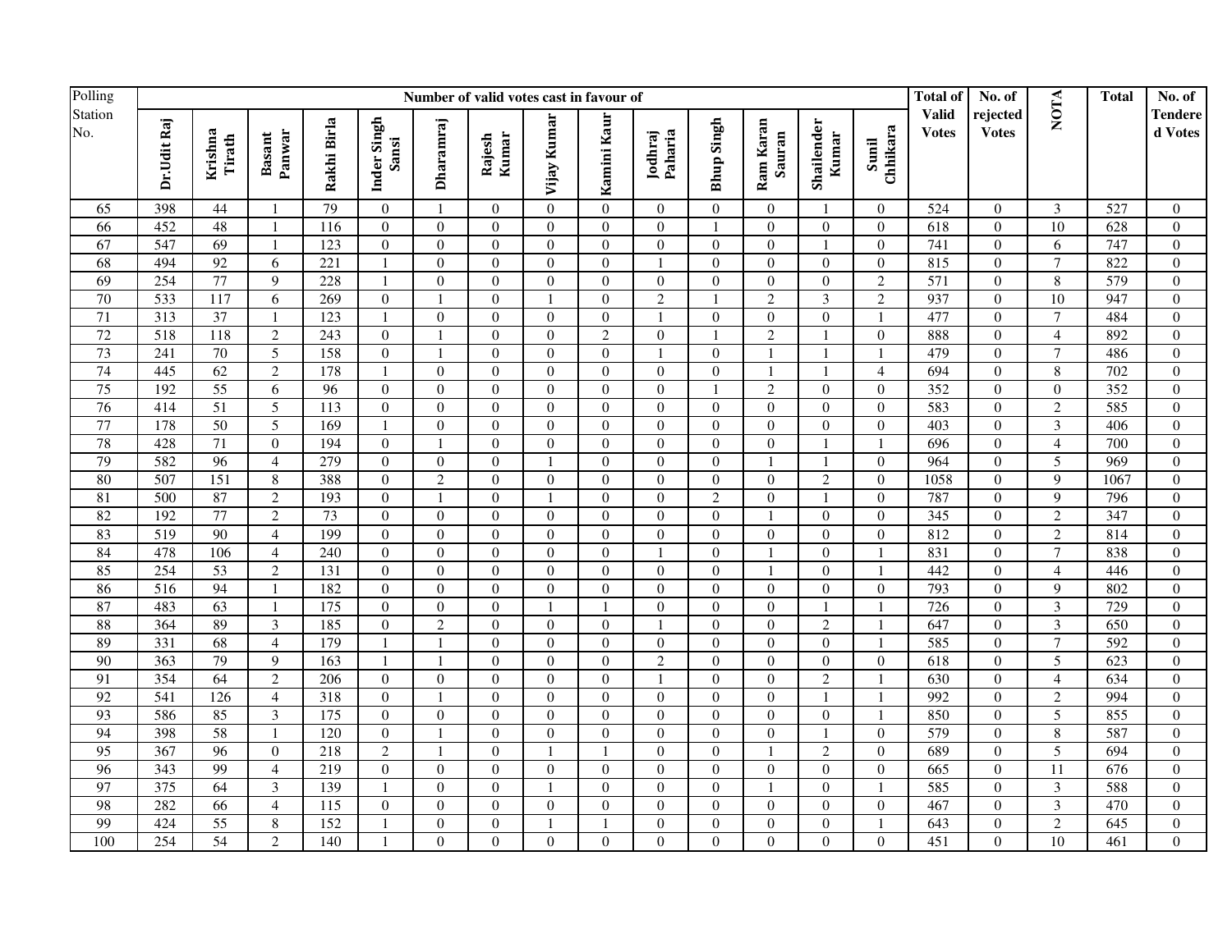| Polling              |                  |                   |                         |                 |                      |                          | Number of valid votes cast in favour of |                |                  |                    |                   |                     |                     |                   | <b>Total of</b>              | No. of                   |                         | <b>Total</b>     | No. of             |
|----------------------|------------------|-------------------|-------------------------|-----------------|----------------------|--------------------------|-----------------------------------------|----------------|------------------|--------------------|-------------------|---------------------|---------------------|-------------------|------------------------------|--------------------------|-------------------------|------------------|--------------------|
| Station<br>No.<br>65 | Dr.Udit Raj      | Krishna<br>Tirath | Panwar<br><b>Basant</b> | Rakhi Birla     | Inder Singh<br>Sansi | Dharamraj                | Rajesh<br>Kumar                         | Vijay Kumar    | Kamini Kaur      | Paharia<br>Jodhraj | <b>Bhup Singh</b> | Ram Karan<br>Sauran | Shailender<br>Kumar | Sunil<br>Chhikara | <b>Valid</b><br><b>Votes</b> | rejected<br><b>Votes</b> | <b>NOTA</b>             |                  | Tendere<br>d Votes |
|                      | 398              | 44                | -1                      | 79              | $\overline{0}$       |                          | $\overline{0}$                          | $\Omega$       | $\mathbf{0}$     | $\Omega$           | $\overline{0}$    | $\overline{0}$      |                     | $\overline{0}$    | 524                          | $\overline{0}$           | 3                       | 527              | $\overline{0}$     |
| 66                   | 452              | 48                | $\overline{1}$          | 116             | $\overline{0}$       | $\overline{0}$           | $\overline{0}$                          | $\Omega$       | $\Omega$         | $\Omega$           | $\mathbf{1}$      | $\overline{0}$      | $\overline{0}$      | $\overline{0}$    | 618                          | $\mathbf{0}$             | $\overline{10}$         | 628              | $\mathbf{0}$       |
| 67                   | 547              | 69                | $\overline{1}$          | 123             | $\boldsymbol{0}$     | $\boldsymbol{0}$         | $\boldsymbol{0}$                        | $\overline{0}$ | $\mathbf{0}$     | $\overline{0}$     | $\boldsymbol{0}$  | $\boldsymbol{0}$    |                     | $\overline{0}$    | 741                          | $\boldsymbol{0}$         | 6                       | 747              | $\boldsymbol{0}$   |
| 68                   | 494              | 92                | 6                       | 221             | $\mathbf{1}$         | $\boldsymbol{0}$         | $\boldsymbol{0}$                        | $\Omega$       | $\Omega$         | $\mathbf{1}$       | $\theta$          | $\boldsymbol{0}$    | $\Omega$            | $\Omega$          | 815                          | $\Omega$                 | $\overline{7}$          | 822              | $\boldsymbol{0}$   |
| 69                   | 254              | 77                | 9                       | 228             |                      | $\overline{0}$           | $\boldsymbol{0}$                        | $\theta$       | $\Omega$         | $\overline{0}$     | $\overline{0}$    | $\boldsymbol{0}$    | $\Omega$            | $\overline{2}$    | $\overline{571}$             | $\overline{0}$           | $\,8\,$                 | 579              | $\overline{0}$     |
| 70                   | 533              | $\overline{117}$  | 6                       | 269             | $\mathbf{0}$         |                          | $\mathbf{0}$                            |                | $\Omega$         | $\overline{2}$     |                   | $\overline{2}$      | 3                   | $\overline{2}$    | 937                          | $\overline{0}$           | $\overline{10}$         | 947              | $\overline{0}$     |
| 71                   | 313              | $\overline{37}$   | $\overline{1}$          | 123             | $\mathbf{1}$         | $\overline{0}$           | $\boldsymbol{0}$                        | $\mathbf{0}$   | $\Omega$         | $\mathbf{1}$       | $\boldsymbol{0}$  | $\boldsymbol{0}$    | $\mathbf{0}$        | $\overline{1}$    | 477                          | $\mathbf{0}$             | $\overline{7}$          | 484              | $\overline{0}$     |
| 72                   | 518              | 118               | $\overline{2}$          | 243             | $\boldsymbol{0}$     |                          | $\boldsymbol{0}$                        | $\Omega$       | $\overline{2}$   | $\boldsymbol{0}$   |                   | $\overline{2}$      |                     | $\boldsymbol{0}$  | 888                          | $\overline{0}$           | $\overline{\mathbf{4}}$ | 892              | $\mathbf{0}$       |
| 73                   | 241              | $70\,$            | 5                       | 158             | $\boldsymbol{0}$     | $\overline{\phantom{a}}$ | $\boldsymbol{0}$                        | $\overline{0}$ | $\mathbf{0}$     | $\mathbf{1}$       | $\overline{0}$    | $\mathbf{1}$        |                     |                   | 479                          | $\overline{0}$           | $\overline{7}$          | 486              | $\mathbf{0}$       |
| 74                   | 445              | 62                | $\overline{2}$          | 178             | $\mathbf{1}$         | $\boldsymbol{0}$         | $\boldsymbol{0}$                        | $\Omega$       | $\Omega$         | $\Omega$           | $\theta$          | $\mathbf{1}$        |                     | $\overline{4}$    | 694                          | $\Omega$                 | 8                       | 702              | $\theta$           |
| 75                   | 192              | $\overline{55}$   | 6                       | $\overline{96}$ | $\overline{0}$       | $\overline{0}$           | $\mathbf{0}$                            | $\theta$       | $\Omega$         | $\Omega$           | $\mathbf{1}$      | $\overline{2}$      | $\Omega$            | $\theta$          | 352                          | $\overline{0}$           | $\theta$                | 352              | $\overline{0}$     |
| 76                   | 414              | $\overline{51}$   | 5                       | 113             | $\boldsymbol{0}$     | $\boldsymbol{0}$         | $\mathbf{0}$                            | $\Omega$       | $\Omega$         | $\Omega$           | $\boldsymbol{0}$  | $\mathbf{0}$        | $\Omega$            | $\Omega$          | 583                          | $\overline{0}$           | $\overline{c}$          | 585              | $\mathbf{0}$       |
| 77                   | 178              | $\overline{50}$   | 5                       | 169             | $\mathbf{1}$         | $\boldsymbol{0}$         | $\mathbf{0}$                            | $\mathbf{0}$   | $\Omega$         | $\boldsymbol{0}$   | $\boldsymbol{0}$  | $\mathbf{0}$        | $\mathbf{0}$        | $\boldsymbol{0}$  | 403                          | $\mathbf{0}$             | $\overline{3}$          | 406              | $\mathbf{0}$       |
| 78                   | 428              | 71                | $\mathbf{0}$            | 194             | $\boldsymbol{0}$     |                          | $\mathbf{0}$                            | $\overline{0}$ | $\mathbf{0}$     | $\Omega$           | $\boldsymbol{0}$  | $\overline{0}$      |                     | $\overline{1}$    | 696                          | $\boldsymbol{0}$         | $\overline{4}$          | 700              | $\mathbf{0}$       |
| 79                   | 582              | $\overline{96}$   | $\overline{4}$          | 279             | $\boldsymbol{0}$     | $\boldsymbol{0}$         | $\boldsymbol{0}$                        | $\mathbf{1}$   | $\mathbf{0}$     | $\boldsymbol{0}$   | $\boldsymbol{0}$  | $\mathbf{1}$        |                     | $\mathbf{0}$      | 964                          | $\boldsymbol{0}$         | 5                       | 969              | $\boldsymbol{0}$   |
| 80                   | 507              | 151               | $8\,$                   | 388             | $\boldsymbol{0}$     | $\sqrt{2}$               | $\boldsymbol{0}$                        | $\overline{0}$ | $\mathbf{0}$     | $\boldsymbol{0}$   | $\boldsymbol{0}$  | $\boldsymbol{0}$    | $\overline{c}$      | $\overline{0}$    | 1058                         | $\boldsymbol{0}$         | 9                       | 1067             | $\mathbf{0}$       |
| 81                   | 500              | 87                | 2                       | 193             | $\mathbf{0}$         | $\mathbf{1}$             | $\mathbf{0}$                            | $\mathbf{1}$   | $\Omega$         | $\Omega$           | $\overline{2}$    | $\mathbf{0}$        |                     | $\theta$          | 787                          | $\overline{0}$           | 9                       | 796              | $\overline{0}$     |
| 82                   | 192              | $\overline{77}$   | $\overline{2}$          | $\overline{73}$ | $\boldsymbol{0}$     | $\boldsymbol{0}$         | $\mathbf{0}$                            | $\theta$       | $\Omega$         | $\Omega$           | $\mathbf{0}$      | $\mathbf{1}$        | $\overline{0}$      | $\theta$          | 345                          | $\overline{0}$           | $\overline{c}$          | 347              | $\mathbf{0}$       |
| 83                   | $\overline{519}$ | $\overline{90}$   | $\overline{4}$          | 199             | $\mathbf{0}$         | $\overline{0}$           | $\mathbf{0}$                            | $\Omega$       | $\Omega$         | $\Omega$           | $\boldsymbol{0}$  | $\mathbf{0}$        | $\Omega$            | $\Omega$          | 812                          | $\mathbf{0}$             | $\overline{c}$          | 814              | $\overline{0}$     |
| 84                   | 478              | 106               | $\overline{4}$          | 240             | $\boldsymbol{0}$     | $\boldsymbol{0}$         | $\boldsymbol{0}$                        | $\theta$       | $\Omega$         | $\mathbf{1}$       | $\boldsymbol{0}$  | $\mathbf{1}$        | $\overline{0}$      | $\mathbf{1}$      | 831                          | $\boldsymbol{0}$         | $\overline{7}$          | 838              | $\mathbf{0}$       |
| 85                   | 254              | $\overline{53}$   | 2                       | 131             | $\overline{0}$       | $\overline{0}$           | $\overline{0}$                          | $\Omega$       | $\Omega$         | $\Omega$           | $\overline{0}$    | $\mathbf{1}$        | $\Omega$            | $\overline{1}$    | 442                          | $\overline{0}$           | 4                       | 446              | $\overline{0}$     |
| 86                   | $\overline{516}$ | 94                | $\overline{1}$          | 182             | $\boldsymbol{0}$     | $\boldsymbol{0}$         | $\boldsymbol{0}$                        | $\overline{0}$ | $\mathbf{0}$     | $\boldsymbol{0}$   | $\overline{0}$    | $\boldsymbol{0}$    | $\overline{0}$      | $\overline{0}$    | 793                          | $\boldsymbol{0}$         | 9                       | 802              | $\boldsymbol{0}$   |
| 87                   | 483              | 63                | - 1                     | 175             | $\Omega$             | $\boldsymbol{0}$         | $\theta$                                |                |                  | $\Omega$           | $\theta$          | $\Omega$            |                     |                   | 726                          | $\Omega$                 | 3                       | 729              | $\mathbf{0}$       |
| 88                   | 364              | 89                | $\overline{3}$          | 185             | $\overline{0}$       | $\overline{2}$           | $\overline{0}$                          | $\Omega$       | $\Omega$         | $\mathbf{1}$       | $\overline{0}$    | $\overline{0}$      | $\overline{2}$      |                   | 647                          | $\overline{0}$           | $\overline{\mathbf{3}}$ | 650              | $\overline{0}$     |
| 89                   | 331              | 68                | $\overline{4}$          | 179             |                      |                          | $\overline{0}$                          | $\Omega$       | $\Omega$         | $\Omega$           | $\boldsymbol{0}$  | $\mathbf{0}$        | $\Omega$            | $\overline{1}$    | 585                          | $\overline{0}$           | $\tau$                  | 592              | $\mathbf{0}$       |
| 90                   | 363              | $\overline{79}$   | 9                       | 163             |                      |                          | $\mathbf{0}$                            | $\Omega$       | $\Omega$         | $\overline{2}$     | $\overline{0}$    | $\mathbf{0}$        | $\overline{0}$      | $\theta$          | 618                          | $\overline{0}$           | 5                       | 623              | $\mathbf{0}$       |
| 91                   | 354              | 64                | $\overline{2}$          | 206             | $\mathbf{0}$         | $\boldsymbol{0}$         | $\mathbf{0}$                            | $\Omega$       | $\Omega$         | $\mathbf{1}$       | $\boldsymbol{0}$  | $\mathbf{0}$        | $\overline{2}$      |                   | 630                          | $\overline{0}$           | $\overline{4}$          | 634              | $\overline{0}$     |
| 92                   | 541              | $\frac{126}{2}$   | $\overline{4}$          | 318             | $\boldsymbol{0}$     |                          | $\boldsymbol{0}$                        | $\overline{0}$ | $\mathbf{0}$     | $\overline{0}$     | $\boldsymbol{0}$  | $\boldsymbol{0}$    |                     | $\mathbf{1}$      | 992                          | $\overline{0}$           | $\overline{c}$          | 994              | $\mathbf{0}$       |
| 93                   | 586              | 85                | $\mathfrak{Z}$          | 175             | $\mathbf{0}$         | $\boldsymbol{0}$         | $\boldsymbol{0}$                        | $\Omega$       | $\mathbf{0}$     | $\boldsymbol{0}$   | $\overline{0}$    | $\boldsymbol{0}$    | $\mathbf{0}$        | $\overline{1}$    | 850                          | $\overline{0}$           | 5                       | 855              | $\overline{0}$     |
| 94                   | 398              | 58                | $\overline{1}$          | 120             | $\mathbf{0}$         | $\mathbf{1}$             | $\mathbf{0}$                            | $\theta$       | $\Omega$         | $\Omega$           | $\theta$          | $\mathbf{0}$        |                     | $\theta$          | 579                          | $\Omega$                 | 8                       | 587              | $\overline{0}$     |
| 95                   | 367              | $\overline{96}$   | $\theta$                | 218             | $\overline{2}$       | $\overline{1}$           | $\mathbf{0}$                            |                |                  | $\Omega$           | $\boldsymbol{0}$  | $\overline{1}$      | $\overline{2}$      | $\Omega$          | 689                          | $\boldsymbol{0}$         | $\overline{5}$          | 694              | $\mathbf{0}$       |
| 96                   | 343              | 99                | $\overline{4}$          | 219             | $\mathbf{0}$         | $\overline{0}$           | $\mathbf{0}$                            | $\theta$       | $\mathbf{0}$     | $\Omega$           | $\boldsymbol{0}$  | $\mathbf{0}$        | $\mathbf{0}$        | $\boldsymbol{0}$  | 665                          | $\overline{0}$           | 11                      | 676              | $\mathbf{0}$       |
| 97                   | 375              | 64                | 3                       | 139             | $\mathbf{1}$         | $\boldsymbol{0}$         | $\boldsymbol{0}$                        | $\mathbf{1}$   | $\boldsymbol{0}$ | $\Omega$           | $\boldsymbol{0}$  | $\mathbf{1}$        | $\overline{0}$      | $\overline{1}$    | 585                          | $\overline{0}$           | 3                       | 588              | $\mathbf{0}$       |
| 98                   | 282              | 66                | $\overline{4}$          | 115             | $\boldsymbol{0}$     | $\boldsymbol{0}$         | $\boldsymbol{0}$                        | $\mathbf{0}$   | $\overline{0}$   | $\boldsymbol{0}$   | $\overline{0}$    | $\boldsymbol{0}$    | $\mathbf{0}$        | $\overline{0}$    | 467                          | $\mathbf{0}$             | $\mathfrak{Z}$          | 470              | $\mathbf{0}$       |
| 99                   | 424              | 55                | $8\,$                   | 152             |                      | $\boldsymbol{0}$         | $\boldsymbol{0}$                        |                |                  | $\overline{0}$     | $\boldsymbol{0}$  | $\boldsymbol{0}$    | $\overline{0}$      | $\mathbf{1}$      | 643                          | $\boldsymbol{0}$         | $\overline{c}$          | 645              | $\boldsymbol{0}$   |
| 100                  | 254              | 54                | 2                       | 140             |                      | $\theta$                 | $\boldsymbol{0}$                        | $\theta$       | $\Omega$         | $\Omega$           | $\boldsymbol{0}$  | $\Omega$            | $\overline{0}$      | $\Omega$          | $\overline{451}$             | $\overline{0}$           | $\overline{10}$         | $\overline{461}$ | $\Omega$           |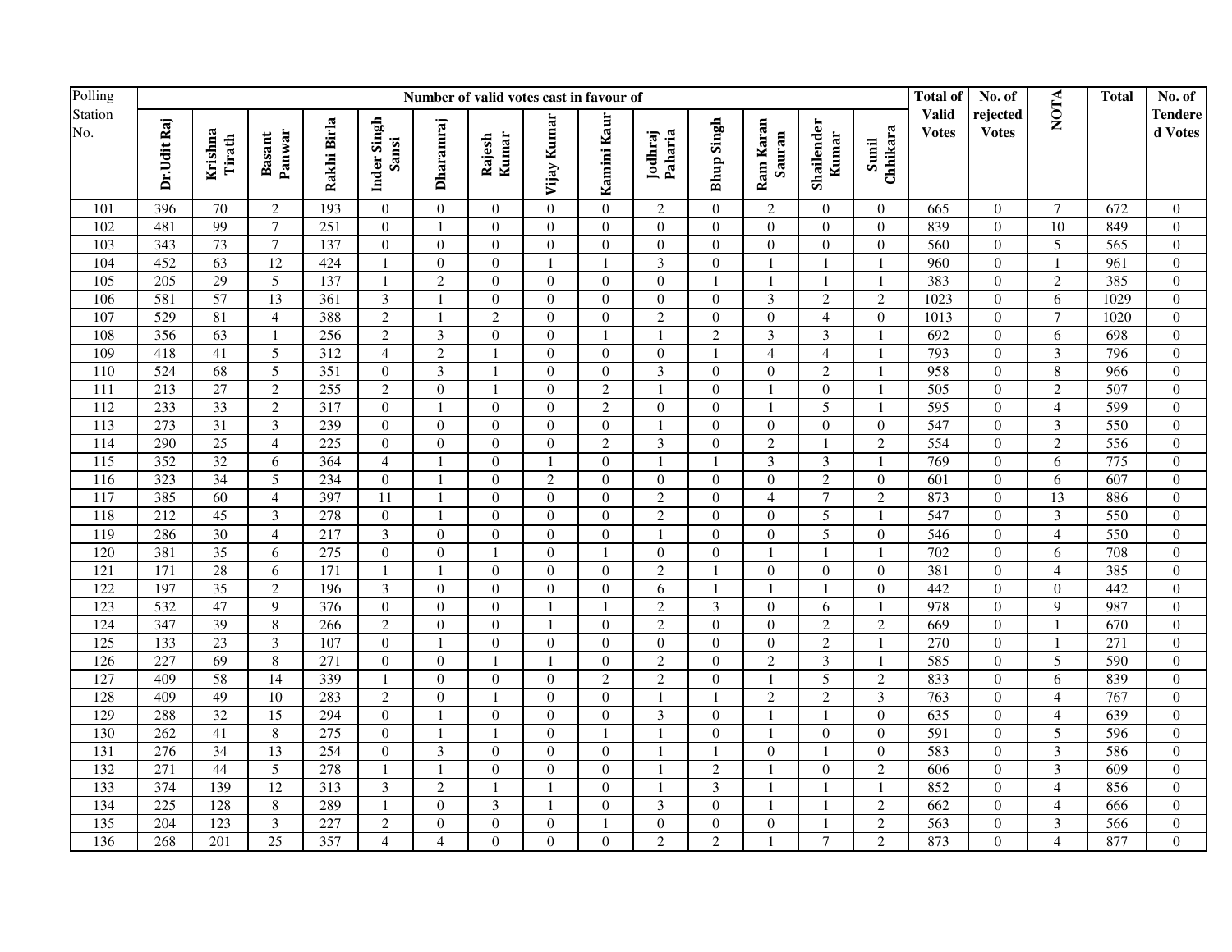| Polling        |             |                   |                         |             |                         |                  | Number of valid votes cast in favour of |                |                  |                    |                         |                         |                     |                   | Total of                     | No. of                   |                         | <b>Total</b> | No. of                    |
|----------------|-------------|-------------------|-------------------------|-------------|-------------------------|------------------|-----------------------------------------|----------------|------------------|--------------------|-------------------------|-------------------------|---------------------|-------------------|------------------------------|--------------------------|-------------------------|--------------|---------------------------|
| Station<br>No. | Dr.Udit Raj | Krishna<br>Tirath | Panwar<br><b>Basant</b> | Rakhi Birla | Inder Singh<br>Sansi    | Dharamraj        | Kumar<br>Rajesh                         | Vijay Kumar    | Kamini Kaur      | Jodhraj<br>Paharia | <b>Bhup Singh</b>       | Ram Karan<br>Sauran     | Shailender<br>Kumar | Sunil<br>Chhikara | <b>Valid</b><br><b>Votes</b> | rejected<br><b>Votes</b> | NOTA                    |              | <b>Tendere</b><br>d Votes |
| 101            | 396         | 70                | 2                       | 193         | $\overline{0}$          | $\mathbf{0}$     | $\overline{0}$                          | $\Omega$       | $\overline{0}$   | 2                  | $\overline{0}$          | $\overline{c}$          | $\Omega$            | $\overline{0}$    | 665                          | $\overline{0}$           | $\tau$                  | 672          | $\overline{0}$            |
| 102            | 481         | 99                | $\overline{7}$          | 251         | $\mathbf{0}$            | $\mathbf{1}$     | $\overline{0}$                          | $\Omega$       | $\Omega$         | $\overline{0}$     | $\boldsymbol{0}$        | $\mathbf{0}$            | $\Omega$            | $\theta$          | 839                          | $\overline{0}$           | 10                      | 849          | $\overline{0}$            |
| 103            | 343         | 73                | $\overline{7}$          | 137         | $\boldsymbol{0}$        | $\overline{0}$   | $\boldsymbol{0}$                        | $\overline{0}$ | $\Omega$         | $\overline{0}$     | $\boldsymbol{0}$        | $\boldsymbol{0}$        | $\overline{0}$      | $\boldsymbol{0}$  | 560                          | $\overline{0}$           | $\overline{5}$          | 565          | $\overline{0}$            |
| 104            | 452         | $\overline{63}$   | 12                      | 424         | 1                       | $\boldsymbol{0}$ | $\boldsymbol{0}$                        | $\overline{1}$ | $\overline{1}$   | $\mathfrak{Z}$     | $\boldsymbol{0}$        | $\mathbf{1}$            |                     | $\overline{1}$    | 960                          | $\overline{0}$           | $\mathbf{1}$            | 961          | $\mathbf{0}$              |
| 105            | 205         | 29                | 5                       | 137         | $\mathbf{1}$            | $\overline{2}$   | $\boldsymbol{0}$                        | $\overline{0}$ | $\Omega$         | $\boldsymbol{0}$   | $\mathbf{1}$            | $\mathbf{1}$            |                     | -1                | 383                          | $\overline{0}$           | $\overline{c}$          | 385          | $\mathbf{0}$              |
| 106            | 581         | 57                | 13                      | 361         | $\overline{3}$          | $\mathbf{1}$     | $\boldsymbol{0}$                        | $\Omega$       | $\Omega$         | $\Omega$           | $\boldsymbol{0}$        | $\overline{3}$          | $\mathfrak{2}$      | $\overline{2}$    | 1023                         | $\Omega$                 | 6                       | 1029         | $\boldsymbol{0}$          |
| 107            | 529         | 81                | $\overline{4}$          | 388         | $\overline{2}$          | $\blacksquare$   | $\overline{2}$                          | $\theta$       | $\Omega$         | $\overline{c}$     | $\overline{0}$          | $\boldsymbol{0}$        | $\overline{4}$      | $\overline{0}$    | 1013                         | $\overline{0}$           | $\overline{7}$          | 1020         | $\mathbf{0}$              |
| 108            | 356         | 63                | $\overline{1}$          | 256         | $\overline{2}$          | $\mathfrak{Z}$   | $\boldsymbol{0}$                        | $\theta$       | $\overline{1}$   | $\mathbf{1}$       | $\overline{c}$          | $\overline{3}$          | 3                   | $\overline{1}$    | 692                          | $\overline{0}$           | 6                       | 698          | $\theta$                  |
| 109            | 418         | 41                | 5                       | 312         | $\overline{4}$          | $\sqrt{2}$       | $\overline{1}$                          | $\theta$       | $\Omega$         | $\boldsymbol{0}$   | -1                      | $\overline{4}$          | $\overline{4}$      | $\overline{1}$    | 793                          | $\overline{0}$           | $\overline{\mathbf{3}}$ | 796          | $\mathbf{0}$              |
| 110            | 524         | 68                | 5                       | 351         | $\boldsymbol{0}$        | $\mathfrak{Z}$   | $\mathbf{1}$                            | $\theta$       | $\mathbf{0}$     | 3                  | $\overline{0}$          | $\mathbf{0}$            | $\overline{c}$      | $\overline{1}$    | 958                          | $\overline{0}$           | 8                       | 966          | $\mathbf{0}$              |
| 111            | 213         | $\overline{27}$   | $\overline{2}$          | 255         | $\overline{2}$          | $\overline{0}$   | $\mathbf{1}$                            | $\mathbf{0}$   | $\overline{2}$   | $\mathbf{1}$       | $\boldsymbol{0}$        | $\mathbf{1}$            | $\mathbf{0}$        | $\overline{1}$    | $\overline{505}$             | $\overline{0}$           | $\overline{c}$          | 507          | $\mathbf{0}$              |
| 112            | 233         | 33                | $\overline{2}$          | 317         | $\boldsymbol{0}$        | $\overline{1}$   | $\boldsymbol{0}$                        | $\theta$       | $\overline{2}$   | $\boldsymbol{0}$   | $\boldsymbol{0}$        | $\mathbf{1}$            | 5                   | $\overline{1}$    | 595                          | $\overline{0}$           | $\overline{4}$          | 599          | $\mathbf{0}$              |
| 113            | 273         | 31                | $\mathfrak{Z}$          | 239         | $\boldsymbol{0}$        | $\boldsymbol{0}$ | $\boldsymbol{0}$                        | $\overline{0}$ | $\overline{0}$   | $\mathbf{1}$       | $\boldsymbol{0}$        | $\boldsymbol{0}$        | $\boldsymbol{0}$    | $\boldsymbol{0}$  | 547                          | $\boldsymbol{0}$         | $\mathfrak{Z}$          | 550          | $\boldsymbol{0}$          |
| 114            | 290         | $\overline{25}$   | $\overline{4}$          | 225         | $\mathbf{0}$            | $\boldsymbol{0}$ | $\mathbf{0}$                            | $\theta$       | 2                | 3                  | $\overline{0}$          | $\sqrt{2}$              |                     | $\overline{2}$    | 554                          | $\overline{0}$           | $\overline{2}$          | 556          | $\boldsymbol{0}$          |
| 115            | 352         | 32                | 6                       | 364         | $\overline{4}$          | $\mathbf{1}$     | $\mathbf{0}$                            | $\mathbf{1}$   | $\overline{0}$   | $\overline{1}$     | $\mathbf{1}$            | $\overline{\mathbf{3}}$ | $\overline{3}$      | $\overline{1}$    | 769                          | $\boldsymbol{0}$         | 6                       | 775          | $\mathbf{0}$              |
| 116            | 323         | $\overline{34}$   | 5                       | 234         | $\overline{0}$          |                  | $\boldsymbol{0}$                        | $\overline{2}$ | $\Omega$         | $\overline{0}$     | $\boldsymbol{0}$        | $\boldsymbol{0}$        | $\overline{2}$      | $\boldsymbol{0}$  | 601                          | $\boldsymbol{0}$         | 6                       | 607          | $\overline{0}$            |
| 117            | 385         | 60                | $\overline{4}$          | 397         | 11                      | $\mathbf{1}$     | $\boldsymbol{0}$                        | $\Omega$       | $\Omega$         | $\sqrt{2}$         | $\overline{0}$          | $\overline{4}$          | $\tau$              | $\overline{2}$    | 873                          | $\mathbf{0}$             | 13                      | 886          | $\mathbf{0}$              |
| 118            | 212         | 45                | 3                       | 278         | $\boldsymbol{0}$        | $\overline{1}$   | $\boldsymbol{0}$                        | $\theta$       | $\mathbf{0}$     | $\overline{c}$     | $\mathbf{0}$            | $\mathbf{0}$            | 5                   | $\overline{1}$    | 547                          | $\boldsymbol{0}$         | $\overline{3}$          | 550          | $\mathbf{0}$              |
| 119            | 286         | $\overline{30}$   | $\overline{4}$          | 217         | $\overline{3}$          | $\boldsymbol{0}$ | $\mathbf{0}$                            | $\Omega$       | $\Omega$         | $\mathbf{1}$       | $\boldsymbol{0}$        | $\mathbf{0}$            | 5                   | $\overline{0}$    | 546                          | $\mathbf{0}$             | $\overline{4}$          | 550          | $\boldsymbol{0}$          |
| 120            | 381         | $\overline{35}$   | 6                       | 275         | $\boldsymbol{0}$        | $\overline{0}$   | $\mathbf{1}$                            | $\overline{0}$ |                  | $\overline{0}$     | $\boldsymbol{0}$        | $\mathbf{1}$            |                     | $\overline{1}$    | 702                          | $\boldsymbol{0}$         | 6                       | 708          | $\boldsymbol{0}$          |
| 121            | 171         | 28                | 6                       | 171         | $\mathbf{1}$            | $\blacksquare$   | $\overline{0}$                          | $\Omega$       | $\Omega$         | $\sqrt{2}$         |                         | $\overline{0}$          | $\Omega$            | $\theta$          | 381                          | $\overline{0}$           | $\overline{4}$          | 385          | $\Omega$                  |
| 122            | 197         | 35                | $\overline{2}$          | 196         | $\overline{\mathbf{3}}$ | $\overline{0}$   | $\overline{0}$                          | $\theta$       | $\Omega$         | $\overline{6}$     |                         | $\mathbf{1}$            |                     | $\Omega$          | 442                          | $\overline{0}$           | $\theta$                | 442          | $\overline{0}$            |
| 123            | 532         | 47                | 9                       | 376         | $\overline{0}$          | $\overline{0}$   | $\overline{0}$                          | $\mathbf{1}$   |                  | $\overline{2}$     | $\overline{\mathbf{3}}$ | $\overline{0}$          | 6                   |                   | 978                          | $\overline{0}$           | 9                       | 987          | $\overline{0}$            |
| 124            | 347         | 39                | $\overline{8}$          | 266         | $\overline{2}$          | $\overline{0}$   | $\overline{0}$                          | $\mathbf{1}$   | $\Omega$         | $\overline{2}$     | $\overline{0}$          | $\overline{0}$          | $\overline{2}$      | $\overline{2}$    | 669                          | $\overline{0}$           | $\mathbf{1}$            | 670          | $\overline{0}$            |
| 125            | 133         | 23                | $\mathfrak{Z}$          | 107         | $\boldsymbol{0}$        | $\mathbf{1}$     | $\overline{0}$                          | $\Omega$       | $\boldsymbol{0}$ | $\overline{0}$     | $\boldsymbol{0}$        | $\boldsymbol{0}$        | $\overline{c}$      | $\mathbf{1}$      | 270                          | $\overline{0}$           | $\mathbf{1}$            | 271          | $\mathbf{0}$              |
| 126            | 227         | $\overline{69}$   | $\,8\,$                 | 271         | $\mathbf{0}$            | $\boldsymbol{0}$ | $\overline{1}$                          |                | $\Omega$         | $\overline{2}$     | $\overline{0}$          | $\overline{2}$          | $\overline{3}$      |                   | 585                          | $\mathbf{0}$             | 5                       | 590          | $\mathbf{0}$              |
| 127            | 409         | 58                | $\overline{14}$         | 339         | $\mathbf{1}$            | $\boldsymbol{0}$ | $\boldsymbol{0}$                        | $\Omega$       | $\overline{2}$   | $\overline{2}$     | $\boldsymbol{0}$        | $\mathbf{1}$            | $\overline{5}$      | $\overline{2}$    | 833                          | $\overline{0}$           | 6                       | 839          | $\mathbf{0}$              |
| 128            | 409         | 49                | 10                      | 283         | $\overline{2}$          | $\boldsymbol{0}$ | $\mathbf{1}$                            | $\theta$       | $\Omega$         | $\overline{1}$     |                         | $\overline{2}$          | 2                   | $\mathfrak{Z}$    | 763                          | $\overline{0}$           | $\overline{4}$          | 767          | $\boldsymbol{0}$          |
| 129            | 288         | 32                | $\overline{15}$         | 294         | $\mathbf{0}$            | $\overline{1}$   | $\overline{0}$                          | $\Omega$       | $\Omega$         | 3                  | $\overline{0}$          | $\mathbf{1}$            |                     | $\theta$          | 635                          | $\overline{0}$           | $\overline{4}$          | 639          | $\theta$                  |
| 130            | 262         | 41                | 8                       | 275         | $\mathbf{0}$            | -1               | $\overline{1}$                          | $\theta$       |                  | $\mathbf{1}$       | $\Omega$                | $\mathbf{1}$            | $\Omega$            | $\theta$          | 591                          | $\mathbf{0}$             | 5                       | 596          | $\mathbf{0}$              |
| 131            | 276         | $\overline{34}$   | 13                      | 254         | $\boldsymbol{0}$        | $\mathfrak{Z}$   | $\mathbf{0}$                            | $\theta$       | $\boldsymbol{0}$ |                    |                         | $\boldsymbol{0}$        |                     | $\boldsymbol{0}$  | 583                          | $\boldsymbol{0}$         | $\overline{3}$          | 586          | $\mathbf{0}$              |
| 132            | 271         | 44                | 5                       | 278         | $\mathbf{1}$            | $\mathbf{1}$     | $\mathbf{0}$                            | $\theta$       | $\mathbf{0}$     | $\mathbf{1}$       | $\overline{2}$          | $\mathbf{1}$            | $\Omega$            | 2                 | 606                          | $\overline{0}$           | $\overline{3}$          | 609          | $\mathbf{0}$              |
| 133            | 374         | 139               | 12                      | 313         | 3                       | $\sqrt{2}$       | $\mathbf{1}$                            | $\mathbf{1}$   | $\boldsymbol{0}$ | $\mathbf{1}$       | 3                       | $\mathbf{1}$            |                     | $\mathbf{1}$      | 852                          | $\overline{0}$           | $\overline{4}$          | 856          | $\mathbf{0}$              |
| 134            | 225         | 128               | $\,8\,$                 | 289         | 1                       | $\boldsymbol{0}$ | $\mathfrak{Z}$                          | $\mathbf{1}$   | $\mathbf{0}$     | $\mathfrak{Z}$     | $\overline{0}$          | $\mathbf{1}$            |                     | $\overline{2}$    | 662                          | $\boldsymbol{0}$         | $\overline{4}$          | 666          | $\mathbf{0}$              |
| 135            | 204         | 123               | $\mathfrak{Z}$          | 227         | $\overline{c}$          | $\boldsymbol{0}$ | $\boldsymbol{0}$                        | $\mathbf{0}$   |                  | $\boldsymbol{0}$   | $\boldsymbol{0}$        | $\boldsymbol{0}$        |                     | $\overline{2}$    | 563                          | $\boldsymbol{0}$         | 3                       | 566          | $\boldsymbol{0}$          |
| 136            | 268         | 201               | $\overline{25}$         | 357         | $\overline{4}$          | $\overline{4}$   | $\boldsymbol{0}$                        | $\theta$       | $\Omega$         | $\overline{c}$     | $\overline{2}$          | $\mathbf{1}$            | $\tau$              | $\overline{2}$    | 873                          | $\overline{0}$           | $\overline{4}$          | 877          | $\Omega$                  |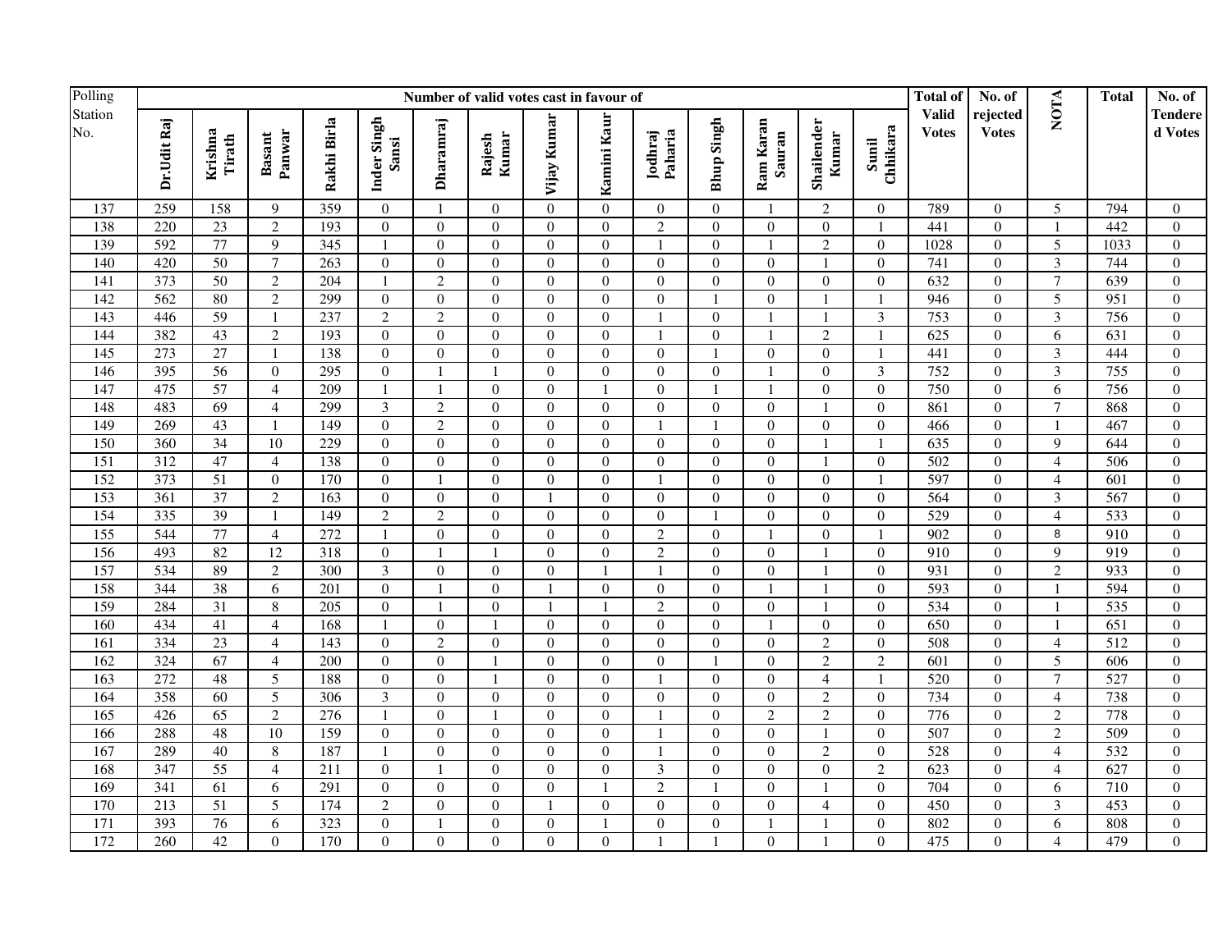| Polling          |                  | Number of valid votes cast in favour of |                         |                  |                      |                  |                  |                |                  |                    |                  |                     |                     |                   |                              | No. of                   |                          | <b>Total</b>     | No. of             |
|------------------|------------------|-----------------------------------------|-------------------------|------------------|----------------------|------------------|------------------|----------------|------------------|--------------------|------------------|---------------------|---------------------|-------------------|------------------------------|--------------------------|--------------------------|------------------|--------------------|
| Station<br>No.   | Dr.Udit Raj      | Krishna<br>Tirath                       | Panwar<br><b>Basant</b> | Rakhi Birla      | Inder Singh<br>Sansi | Dharamraj        | Kumar<br>Rajesh  | Vijay Kumar    | Kamini Kaur      | Paharia<br>Jodhraj | Bhup Singh       | Ram Karan<br>Sauran | Shailender<br>Kumar | Sunil<br>Chhikara | <b>Valid</b><br><b>Votes</b> | rejected<br><b>Votes</b> | <b>NOTA</b>              |                  | Tendere<br>d Votes |
| 137              | 259              | 158                                     | 9                       | 359              | $\overline{0}$       | $\mathbf{1}$     | $\overline{0}$   | $\Omega$       | $\overline{0}$   | $\overline{0}$     | $\overline{0}$   | -1                  | $\overline{c}$      | $\overline{0}$    | 789                          | $\overline{0}$           | 5                        | 794              | $\overline{0}$     |
| 138              | 220              | $\overline{23}$                         | 2                       | 193              | $\overline{0}$       | $\overline{0}$   | $\overline{0}$   | $\Omega$       | $\Omega$         | $\overline{2}$     | $\overline{0}$   | $\overline{0}$      | $\mathbf{0}$        | $\overline{1}$    | 441                          | $\mathbf{0}$             | $\overline{1}$           | 442              | $\mathbf{0}$       |
| 139              | 592              | 77                                      | 9                       | $\overline{345}$ | $\mathbf{1}$         | $\boldsymbol{0}$ | $\boldsymbol{0}$ | $\overline{0}$ | $\theta$         | $\mathbf{1}$       | $\boldsymbol{0}$ | $\mathbf{1}$        | $\overline{c}$      | $\overline{0}$    | 1028                         | $\boldsymbol{0}$         | 5                        | 1033             | $\boldsymbol{0}$   |
| 140              | 420              | 50                                      | $\tau$                  | 263              | $\boldsymbol{0}$     | $\boldsymbol{0}$ | $\boldsymbol{0}$ | $\Omega$       | $\Omega$         | $\Omega$           | $\Omega$         | $\boldsymbol{0}$    |                     | $\theta$          | 741                          | $\Omega$                 | 3                        | 744              | $\Omega$           |
| 141              | 373              | 50                                      | $\overline{2}$          | 204              | -1                   | $\overline{2}$   | $\boldsymbol{0}$ | $\theta$       | $\theta$         | $\overline{0}$     | $\overline{0}$   | $\boldsymbol{0}$    | $\overline{0}$      | $\theta$          | 632                          | $\overline{0}$           | $\overline{7}$           | 639              | $\overline{0}$     |
| 142              | $\overline{562}$ | 80                                      | $\overline{2}$          | 299              | $\mathbf{0}$         | $\boldsymbol{0}$ | $\mathbf{0}$     | $\Omega$       | $\Omega$         | $\theta$           |                  | $\overline{0}$      |                     |                   | 946                          | $\overline{0}$           | $\overline{5}$           | 951              | $\overline{0}$     |
| 143              | 446              | 59                                      | $\overline{1}$          | 237              | $\overline{2}$       | $\overline{2}$   | $\boldsymbol{0}$ | $\Omega$       | $\Omega$         | $\mathbf{1}$       | $\mathbf{0}$     | $\mathbf{1}$        |                     | $\mathfrak{Z}$    | 753                          | $\overline{0}$           | $\overline{\mathbf{3}}$  | 756              | $\overline{0}$     |
| 144              | 382              | 43                                      | $\overline{2}$          | 193              | $\mathbf{0}$         | $\boldsymbol{0}$ | $\boldsymbol{0}$ | $\Omega$       | $\boldsymbol{0}$ | $\overline{1}$     | $\boldsymbol{0}$ | $\mathbf{1}$        | $\overline{c}$      |                   | 625                          | $\overline{0}$           | 6                        | 631              | $\mathbf{0}$       |
| $\overline{145}$ | 273              | $\overline{27}$                         | $\mathbf{1}$            | 138              | $\boldsymbol{0}$     | $\boldsymbol{0}$ | $\boldsymbol{0}$ | $\overline{0}$ | $\theta$         | $\overline{0}$     |                  | $\boldsymbol{0}$    | $\mathbf{0}$        |                   | 441                          | $\mathbf{0}$             | 3                        | 444              | $\mathbf{0}$       |
| 146              | 395              | 56                                      | $\theta$                | 295              | $\boldsymbol{0}$     | $\mathbf{1}$     | $\mathbf{1}$     | $\Omega$       | $\Omega$         | $\Omega$           | $\Omega$         | 1                   | $\Omega$            | 3                 | 752                          | $\theta$                 | 3                        | 755              | $\theta$           |
| 147              | 475              | $\overline{57}$                         | $\overline{4}$          | 209              | $\mathbf{1}$         | $\mathbf{1}$     | $\mathbf{0}$     | $\Omega$       | -1               | $\Omega$           | $\mathbf{1}$     | $\mathbf{1}$        | $\Omega$            | $\theta$          | 750                          | $\overline{0}$           | 6                        | 756              | $\overline{0}$     |
| 148              | 483              | 69                                      | $\overline{4}$          | 299              | $\overline{3}$       | $\overline{c}$   | $\mathbf{0}$     | $\Omega$       | $\Omega$         | $\theta$           | $\boldsymbol{0}$ | $\mathbf{0}$        |                     | $\Omega$          | 861                          | $\overline{0}$           | $\overline{7}$           | 868              | $\mathbf{0}$       |
| 149              | 269              | 43                                      | $\overline{1}$          | 149              | $\mathbf{0}$         | $\overline{c}$   | $\boldsymbol{0}$ | $\Omega$       | $\theta$         | $\mathbf{1}$       | $\mathbf{1}$     | $\boldsymbol{0}$    | $\mathbf{0}$        | $\overline{0}$    | 466                          | $\boldsymbol{0}$         | $\mathbf{1}$             | 467              | $\mathbf{0}$       |
| 150              | 360              | $\overline{34}$                         | 10                      | 229              | $\overline{0}$       | $\boldsymbol{0}$ | $\boldsymbol{0}$ | $\overline{0}$ | $\overline{0}$   | $\overline{0}$     | $\mathbf{0}$     | $\mathbf{0}$        |                     |                   | 635                          | $\boldsymbol{0}$         | 9                        | 644              | $\boldsymbol{0}$   |
| 151              | 312              | 47                                      | $\overline{4}$          | 138              | $\boldsymbol{0}$     | $\boldsymbol{0}$ | $\boldsymbol{0}$ | $\Omega$       | $\boldsymbol{0}$ | $\overline{0}$     | $\boldsymbol{0}$ | $\boldsymbol{0}$    |                     | $\mathbf{0}$      | 502                          | $\boldsymbol{0}$         | $\overline{4}$           | 506              | $\boldsymbol{0}$   |
| 152              | 373              | $\overline{51}$                         | $\overline{0}$          | 170              | $\overline{0}$       | $\mathbf{1}$     | $\boldsymbol{0}$ | $\overline{0}$ | $\overline{0}$   | $\mathbf{1}$       | $\boldsymbol{0}$ | $\boldsymbol{0}$    | $\mathbf{0}$        | $\overline{1}$    | 597                          | $\boldsymbol{0}$         | $\overline{\mathcal{L}}$ | 601              | $\mathbf{0}$       |
| 153              | 361              | $\overline{37}$                         | $\overline{2}$          | 163              | $\overline{0}$       | $\overline{0}$   | $\mathbf{0}$     | $\overline{1}$ | $\theta$         | $\Omega$           | $\overline{0}$   | $\mathbf{0}$        | $\theta$            | $\overline{0}$    | 564                          | $\overline{0}$           | 3                        | 567              | $\theta$           |
| 154              | 335              | 39                                      | $\overline{1}$          | 149              | $\overline{2}$       | $\overline{c}$   | $\mathbf{0}$     | $\theta$       | $\Omega$         | $\overline{0}$     |                  | $\mathbf{0}$        | $\mathbf{0}$        | $\theta$          | 529                          | $\overline{0}$           | $\overline{4}$           | 533              | $\mathbf{0}$       |
| 155              | 544              | $\overline{77}$                         | $\overline{4}$          | 272              | 1                    | $\overline{0}$   | $\boldsymbol{0}$ | $\Omega$       | $\Omega$         | $\overline{2}$     | $\mathbf{0}$     | $\mathbf{1}$        | $\Omega$            | $\overline{1}$    | 902                          | $\overline{0}$           | 8                        | $\overline{910}$ | $\overline{0}$     |
| 156              | 493              | $\overline{82}$                         | $\overline{12}$         | 318              | $\boldsymbol{0}$     | $\mathbf{1}$     | $\mathbf{1}$     | $\Omega$       | $\overline{0}$   | $\overline{2}$     | $\boldsymbol{0}$ | $\boldsymbol{0}$    |                     | $\overline{0}$    | 910                          | $\overline{0}$           | 9                        | $\overline{919}$ | $\mathbf{0}$       |
| 157              | 534              | 89                                      | $\overline{c}$          | $\overline{300}$ | $\overline{3}$       | $\overline{0}$   | $\boldsymbol{0}$ | $\Omega$       | -1               | $\overline{1}$     | $\overline{0}$   | $\boldsymbol{0}$    |                     | $\theta$          | 931                          | $\overline{0}$           | $\overline{c}$           | 933              | $\overline{0}$     |
| 158              | 344              | $\overline{38}$                         | 6                       | 201              | $\boldsymbol{0}$     | $\overline{1}$   | $\boldsymbol{0}$ |                | $\overline{0}$   | $\overline{0}$     | $\boldsymbol{0}$ | $\mathbf{1}$        |                     | $\overline{0}$    | 593                          | $\boldsymbol{0}$         |                          | 594              | $\boldsymbol{0}$   |
| 159              | 284              | $\overline{31}$                         | 8                       | 205              | $\Omega$             | $\overline{1}$   | $\Omega$         |                |                  | $\overline{c}$     | $\theta$         | $\boldsymbol{0}$    |                     | $\Omega$          | 534                          | $\theta$                 |                          | 535              | $\mathbf{0}$       |
| 160              | 434              | 41                                      | $\overline{4}$          | 168              |                      | $\overline{0}$   | 1                | $\Omega$       | $\Omega$         | $\Omega$           | $\overline{0}$   | 1                   | $\mathbf{0}$        | $\Omega$          | 650                          | $\overline{0}$           |                          | 651              | $\overline{0}$     |
| 161              | 334              | 23                                      | $\overline{4}$          | 143              | $\mathbf{0}$         | $\overline{2}$   | $\boldsymbol{0}$ | $\Omega$       | $\Omega$         | $\Omega$           | $\mathbf{0}$     | $\boldsymbol{0}$    | $\overline{c}$      | $\theta$          | 508                          | $\overline{0}$           | $\overline{\mathcal{L}}$ | 512              | $\mathbf{0}$       |
| 162              | 324              | 67                                      | $\overline{4}$          | $\overline{200}$ | $\mathbf{0}$         | $\overline{0}$   | $\mathbf{1}$     | $\Omega$       | $\theta$         | $\Omega$           | -1               | $\boldsymbol{0}$    | $\overline{c}$      | $\overline{2}$    | $\overline{601}$             | $\mathbf{0}$             | $\overline{5}$           | 606              | $\mathbf{0}$       |
| 163              | 272              | 48                                      | $\overline{5}$          | 188              | $\mathbf{0}$         | $\overline{0}$   | $\mathbf{1}$     | $\Omega$       | $\Omega$         | $\overline{1}$     | $\mathbf{0}$     | $\boldsymbol{0}$    | $\overline{4}$      | $\overline{1}$    | $\overline{520}$             | $\boldsymbol{0}$         | $\overline{7}$           | 527              | $\overline{0}$     |
| 164              | 358              | 60                                      | $\overline{5}$          | 306              | $\overline{3}$       | $\overline{0}$   | $\boldsymbol{0}$ | $\overline{0}$ | $\overline{0}$   | $\overline{0}$     | $\boldsymbol{0}$ | $\boldsymbol{0}$    | $\overline{c}$      | $\overline{0}$    | 734                          | $\overline{0}$           | $\overline{4}$           | 738              | $\boldsymbol{0}$   |
| 165              | 426              | 65                                      | $\overline{2}$          | 276              | $\mathbf{1}$         | $\boldsymbol{0}$ | $\mathbf{1}$     | $\Omega$       | $\overline{0}$   | $\overline{1}$     | $\boldsymbol{0}$ | $\sqrt{2}$          | $\overline{c}$      | $\overline{0}$    | 776                          | $\overline{0}$           | $\overline{c}$           | 778              | $\overline{0}$     |
| 166              | 288              | 48                                      | $\overline{10}$         | 159              | $\overline{0}$       | $\boldsymbol{0}$ | $\mathbf{0}$     | $\theta$       | $\theta$         | -1                 | $\theta$         | $\mathbf{0}$        |                     | $\theta$          | 507                          | $\Omega$                 | $\overline{c}$           | 509              | $\overline{0}$     |
| 167              | 289              | 40                                      | 8                       | 187              | $\mathbf{1}$         | $\boldsymbol{0}$ | $\mathbf{0}$     | $\Omega$       | $\Omega$         |                    | $\mathbf{0}$     | $\mathbf{0}$        | $\overline{2}$      | $\Omega$          | 528                          | $\boldsymbol{0}$         | $\overline{4}$           | 532              | $\mathbf{0}$       |
| 168              | 347              | $\overline{55}$                         | $\overline{4}$          | 211              | $\mathbf{0}$         | $\mathbf{1}$     | $\overline{0}$   | $\Omega$       | $\Omega$         | $\overline{3}$     | $\boldsymbol{0}$ | $\overline{0}$      | $\boldsymbol{0}$    | $\overline{2}$    | $\overline{623}$             | $\overline{0}$           | $\overline{4}$           | 627              | $\overline{0}$     |
| 169              | 341              | 61                                      | 6                       | 291              | $\overline{0}$       | $\boldsymbol{0}$ | $\boldsymbol{0}$ | $\Omega$       | $\mathbf{1}$     | $\overline{c}$     |                  | $\boldsymbol{0}$    |                     | $\mathbf{0}$      | 704                          | $\overline{0}$           | 6                        | 710              | $\mathbf{0}$       |
| 170              | 213              | 51                                      | 5                       | 174              | $\overline{2}$       | $\boldsymbol{0}$ | $\boldsymbol{0}$ | $\overline{1}$ | $\overline{0}$   | $\overline{0}$     | $\overline{0}$   | $\boldsymbol{0}$    | 4                   | $\overline{0}$    | 450                          | $\boldsymbol{0}$         | 3                        | 453              | $\mathbf{0}$       |
| 171              | 393              | 76                                      | 6                       | 323              | $\boldsymbol{0}$     | $\overline{1}$   | $\boldsymbol{0}$ | $\overline{0}$ |                  | $\overline{0}$     | $\boldsymbol{0}$ | 1                   |                     | $\overline{0}$    | 802                          | $\boldsymbol{0}$         | 6                        | 808              | $\boldsymbol{0}$   |
| 172              | 260              | 42                                      | $\Omega$                | 170              | $\overline{0}$       | $\boldsymbol{0}$ | $\mathbf{0}$     | $\Omega$       | $\Omega$         | $\mathbf{1}$       |                  | $\overline{0}$      |                     | $\Omega$          | 475                          | $\overline{0}$           | $\overline{4}$           | 479              | $\Omega$           |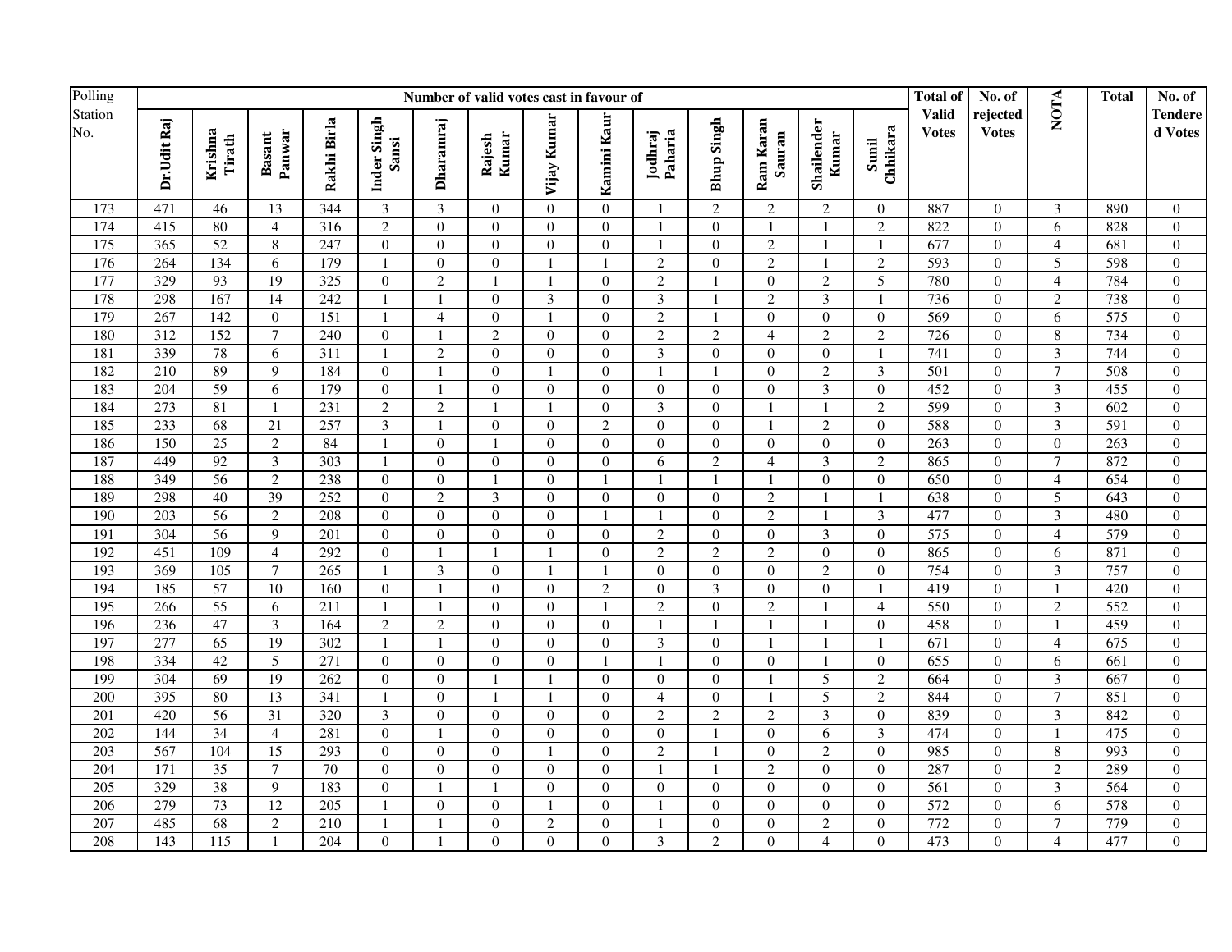| Polling               |                  | Number of valid votes cast in favour of |                         |                  |                      |                          |                  |                |                  |                    |                         |                     |                     |                   |                              | No. of                   |                          | <b>Total</b> | No. of                    |
|-----------------------|------------------|-----------------------------------------|-------------------------|------------------|----------------------|--------------------------|------------------|----------------|------------------|--------------------|-------------------------|---------------------|---------------------|-------------------|------------------------------|--------------------------|--------------------------|--------------|---------------------------|
| Station<br>No.<br>173 | Dr.Udit Raj      | Krishna<br>Tirath                       | Panwar<br><b>Basant</b> | Rakhi Birla      | Inder Singh<br>Sansi | Dharamraj                | Kumar<br>Rajesh  | Vijay Kumar    | Kamini Kaur      | Jodhraj<br>Paharia | <b>Bhup Singh</b>       | Ram Karan<br>Sauran | Shailender<br>Kumar | Sunil<br>Chhikara | <b>Valid</b><br><b>Votes</b> | rejected<br><b>Votes</b> | NOTA                     |              | <b>Tendere</b><br>d Votes |
|                       | 471              | 46                                      | 13                      | 344              | 3                    | 3                        | $\overline{0}$   | $\Omega$       | $\overline{0}$   |                    | $\overline{2}$          | $\overline{c}$      | $\overline{2}$      | $\overline{0}$    | 887                          | $\overline{0}$           | 3                        | 890          | $\overline{0}$            |
| 174                   | 415              | 80                                      | $\overline{4}$          | $\overline{316}$ | $\overline{2}$       | $\overline{0}$           | $\overline{0}$   | $\Omega$       | $\Omega$         | $\overline{1}$     | $\boldsymbol{0}$        | $\mathbf{1}$        |                     | $\overline{2}$    | 822                          | $\overline{0}$           | $\overline{6}$           | 828          | $\overline{0}$            |
| 175                   | 365              | 52                                      | $\,8\,$                 | 247              | $\boldsymbol{0}$     | $\overline{0}$           | $\boldsymbol{0}$ | $\overline{0}$ | $\boldsymbol{0}$ | $\overline{1}$     | $\boldsymbol{0}$        | $\sqrt{2}$          |                     | $\overline{1}$    | 677                          | $\overline{0}$           | $\overline{4}$           | 681          | $\overline{0}$            |
| 176                   | 264              | 134                                     | 6                       | 179              | $\mathbf{1}$         | $\boldsymbol{0}$         | $\boldsymbol{0}$ | $\overline{1}$ | $\overline{1}$   | $\overline{c}$     | $\boldsymbol{0}$        | $\sqrt{2}$          |                     | $\overline{2}$    | 593                          | $\overline{0}$           | 5                        | 598          | $\mathbf{0}$              |
| 177                   | 329              | 93                                      | 19                      | 325              | $\boldsymbol{0}$     | $\overline{2}$           | $\mathbf{1}$     | -1             | $\Omega$         | $\overline{c}$     |                         | $\mathbf{0}$        | $\overline{2}$      | 5                 | 780                          | $\overline{0}$           | $\overline{4}$           | 784          | $\mathbf{0}$              |
| 178                   | 298              | 167                                     | 14                      | 242              | $\overline{1}$       | $\mathbf{1}$             | $\boldsymbol{0}$ | 3              | $\Omega$         | 3                  |                         | $\overline{2}$      | 3                   | $\overline{1}$    | 736                          | $\Omega$                 | $\overline{c}$           | 738          | $\boldsymbol{0}$          |
| 179                   | 267              | 142                                     | $\theta$                | 151              | $\mathbf{1}$         | $\overline{4}$           | $\mathbf{0}$     | $\mathbf{1}$   | $\Omega$         | $\overline{c}$     | $\overline{1}$          | $\overline{0}$      | $\Omega$            | $\overline{0}$    | 569                          | $\overline{0}$           | 6                        | 575          | $\overline{0}$            |
| 180                   | $\overline{312}$ | 152                                     | $\overline{7}$          | 240              | $\boldsymbol{0}$     | $\overline{1}$           | $\overline{2}$   | $\Omega$       | $\Omega$         | $\overline{c}$     | $\overline{c}$          | $\overline{4}$      | $\overline{2}$      | $\overline{2}$    | 726                          | $\overline{0}$           | 8                        | 734          | $\Omega$                  |
| 181                   | 339              | 78                                      | 6                       | 311              | $\mathbf{1}$         | $\overline{2}$           | $\mathbf{0}$     | $\theta$       | $\Omega$         | $\overline{3}$     | $\overline{0}$          | $\mathbf{0}$        | $\overline{0}$      | $\overline{1}$    | 741                          | $\mathbf{0}$             | $\overline{\mathbf{3}}$  | 744          | $\mathbf{0}$              |
| 182                   | 210              | 89                                      | 9                       | 184              | $\boldsymbol{0}$     |                          | $\mathbf{0}$     |                | $\mathbf{0}$     | $\mathbf{1}$       |                         | $\mathbf{0}$        | $\overline{c}$      | 3                 | 501                          | $\overline{0}$           | $\overline{7}$           | 508          | $\mathbf{0}$              |
| 183                   | 204              | 59                                      | 6                       | 179              | $\mathbf{0}$         | $\mathbf{1}$             | $\boldsymbol{0}$ | $\mathbf{0}$   | $\mathbf{0}$     | $\boldsymbol{0}$   | $\boldsymbol{0}$        | $\boldsymbol{0}$    | $\mathfrak{Z}$      | $\mathbf{0}$      | 452                          | $\overline{0}$           | $\overline{3}$           | 455          | $\mathbf{0}$              |
| 184                   | 273              | 81                                      | $\overline{1}$          | 231              | $\overline{c}$       | $\sqrt{2}$               | $\mathbf{1}$     |                | $\mathbf{0}$     | 3                  | $\boldsymbol{0}$        | $\mathbf{1}$        |                     | $\overline{2}$    | 599                          | $\overline{0}$           | 3                        | 602          | $\overline{0}$            |
| 185                   | 233              | 68                                      | 21                      | 257              | $\mathfrak{Z}$       | $\overline{1}$           | $\boldsymbol{0}$ | $\mathbf{0}$   | $\overline{2}$   | $\boldsymbol{0}$   | $\overline{0}$          | $\mathbf{1}$        | $\mathfrak{2}$      | $\boldsymbol{0}$  | 588                          | $\boldsymbol{0}$         | $\overline{3}$           | 591          | $\boldsymbol{0}$          |
| 186                   | 150              | $\overline{25}$                         | 2                       | 84               | $\mathbf{1}$         | $\boldsymbol{0}$         | $\mathbf{1}$     | $\theta$       | $\Omega$         | $\Omega$           | $\overline{0}$          | $\mathbf{0}$        | $\overline{0}$      | $\theta$          | 263                          | $\overline{0}$           | $\theta$                 | 263          | $\overline{0}$            |
| 187                   | 449              | 92                                      | $\overline{3}$          | 303              | $\mathbf{1}$         | $\overline{0}$           | $\mathbf{0}$     | $\Omega$       | $\Omega$         | 6                  | $\overline{2}$          | $\overline{4}$      | $\overline{3}$      | $\overline{2}$    | 865                          | $\overline{0}$           | $\overline{7}$           | 872          | $\overline{0}$            |
| 188                   | 349              | $\overline{56}$                         | $\overline{2}$          | 238              | $\overline{0}$       | $\boldsymbol{0}$         | $\mathbf{1}$     | $\Omega$       |                  | $\mathbf{1}$       |                         | $\mathbf{1}$        | $\overline{0}$      | $\boldsymbol{0}$  | 650                          | $\boldsymbol{0}$         | $\overline{4}$           | 654          | $\mathbf{0}$              |
| 189                   | 298              | 40                                      | $\overline{39}$         | 252              | $\mathbf{0}$         | $\overline{2}$           | $\overline{3}$   | $\Omega$       | $\Omega$         | $\boldsymbol{0}$   | $\overline{0}$          | $\sqrt{2}$          |                     | $\overline{1}$    | 638                          | $\mathbf{0}$             | 5                        | 643          | $\mathbf{0}$              |
| 190                   | 203              | $\overline{56}$                         | $\overline{2}$          | 208              | $\boldsymbol{0}$     | $\boldsymbol{0}$         | $\boldsymbol{0}$ | $\overline{0}$ |                  | $\mathbf{1}$       | $\boldsymbol{0}$        | $\overline{2}$      |                     | 3                 | 477                          | $\boldsymbol{0}$         | $\overline{3}$           | 480          | $\mathbf{0}$              |
| 191                   | 304              | $\overline{56}$                         | 9                       | 201              | $\mathbf{0}$         | $\boldsymbol{0}$         | $\mathbf{0}$     | $\theta$       | $\Omega$         | $\overline{c}$     | $\boldsymbol{0}$        | $\mathbf{0}$        | $\overline{3}$      | $\Omega$          | $\overline{575}$             | $\mathbf{0}$             | $\overline{4}$           | 579          | $\mathbf{0}$              |
| 192                   | 451              | 109                                     | $\overline{4}$          | 292              | $\boldsymbol{0}$     |                          | $\mathbf{1}$     |                | $\mathbf{0}$     | $\overline{c}$     | $\overline{2}$          | $\overline{2}$      | $\boldsymbol{0}$    | $\boldsymbol{0}$  | 865                          | $\boldsymbol{0}$         | 6                        | 871          | $\boldsymbol{0}$          |
| 193                   | 369              | 105                                     | $\tau$                  | 265              | $\mathbf{1}$         | $\mathfrak{Z}$           | $\overline{0}$   |                |                  | $\Omega$           | $\Omega$                | $\overline{0}$      | $\overline{2}$      | $\Omega$          | 754                          | $\overline{0}$           | 3                        | 757          | $\Omega$                  |
| 194                   | 185              | 57                                      | 10                      | 160              | $\overline{0}$       |                          | $\overline{0}$   | $\theta$       | $\overline{2}$   | $\Omega$           | $\overline{\mathbf{3}}$ | $\overline{0}$      | $\Omega$            |                   | 419                          | $\overline{0}$           | $\mathbf{1}$             | 420          | $\overline{0}$            |
| 195                   | 266              | 55                                      | 6                       | 211              |                      |                          | $\overline{0}$   | $\Omega$       |                  | $\overline{2}$     | $\overline{0}$          | $\overline{2}$      |                     | $\overline{4}$    | 550                          | $\overline{0}$           | $\overline{2}$           | 552          | $\overline{0}$            |
| 196                   | 236              | 47                                      | $\overline{3}$          | 164              | $\overline{2}$       | $\overline{2}$           | $\overline{0}$   | $\Omega$       | $\Omega$         | $\overline{1}$     |                         | $\mathbf{1}$        |                     | $\boldsymbol{0}$  | 458                          | $\overline{0}$           | $\mathbf{1}$             | 459          | $\overline{0}$            |
| 197                   | 277              | 65                                      | 19                      | 302              | $\mathbf{1}$         | $\mathbf{1}$             | $\overline{0}$   | $\Omega$       | $\boldsymbol{0}$ | $\mathfrak{Z}$     | $\boldsymbol{0}$        | $\mathbf{1}$        |                     | $\overline{1}$    | 671                          | $\overline{0}$           | $\overline{\mathcal{L}}$ | 675          | $\overline{0}$            |
| 198                   | 334              | 42                                      | $\overline{5}$          | 271              | $\boldsymbol{0}$     | $\boldsymbol{0}$         | $\boldsymbol{0}$ | $\overline{0}$ |                  | $\mathbf{1}$       | $\overline{0}$          | $\boldsymbol{0}$    |                     | $\theta$          | 655                          | $\mathbf{0}$             | 6                        | 661          | $\mathbf{0}$              |
| 199                   | $\overline{304}$ | $\overline{69}$                         | 19                      | 262              | $\mathbf{0}$         | $\boldsymbol{0}$         | $\mathbf{1}$     | $\mathbf{1}$   | $\mathbf{0}$     | $\boldsymbol{0}$   | $\overline{0}$          | $\overline{1}$      | 5                   | $\overline{2}$    | 664                          | $\mathbf{0}$             | 3                        | 667          | $\mathbf{0}$              |
| 200                   | 395              | 80                                      | 13                      | 341              | $\mathbf{1}$         | $\boldsymbol{0}$         | $\mathbf{1}$     | $\mathbf{1}$   | $\Omega$         | $\overline{4}$     | $\boldsymbol{0}$        | $\mathbf{1}$        | 5                   | $\overline{2}$    | 844                          | $\overline{0}$           | $\overline{7}$           | 851          | $\boldsymbol{0}$          |
| 201                   | 420              | 56                                      | $\overline{31}$         | 320              | $\mathfrak{Z}$       | $\boldsymbol{0}$         | $\overline{0}$   | $\Omega$       | $\Omega$         | $\overline{c}$     | $\sqrt{2}$              | $\sqrt{2}$          | 3                   | $\overline{0}$    | 839                          | $\overline{0}$           | 3                        | 842          | $\theta$                  |
| 202                   | 144              | $\overline{34}$                         | $\overline{4}$          | 281              | $\boldsymbol{0}$     | $\overline{\phantom{a}}$ | $\mathbf{0}$     | $\theta$       | $\Omega$         | $\boldsymbol{0}$   | $\mathbf{1}$            | $\overline{0}$      | 6                   | $\overline{3}$    | 474                          | $\mathbf{0}$             | $\mathbf{1}$             | 475          | $\mathbf{0}$              |
| 203                   | 567              | 104                                     | $\overline{15}$         | 293              | $\boldsymbol{0}$     | $\boldsymbol{0}$         | $\mathbf{0}$     |                | $\boldsymbol{0}$ | $\overline{c}$     |                         | $\mathbf{0}$        | $\overline{c}$      | $\boldsymbol{0}$  | 985                          | $\boldsymbol{0}$         | 8                        | 993          | $\mathbf{0}$              |
| 204                   | $\overline{171}$ | $\overline{35}$                         | $\overline{7}$          | $\overline{70}$  | $\mathbf{0}$         | $\overline{0}$           | $\mathbf{0}$     | $\theta$       | $\mathbf{0}$     | $\overline{1}$     | $\overline{1}$          | $\overline{2}$      | $\mathbf{0}$        | $\boldsymbol{0}$  | 287                          | $\overline{0}$           | $\overline{c}$           | 289          | $\overline{0}$            |
| 205                   | 329              | 38                                      | 9                       | 183              | $\boldsymbol{0}$     |                          | $\mathbf{1}$     | $\theta$       | $\boldsymbol{0}$ | $\boldsymbol{0}$   | $\boldsymbol{0}$        | $\boldsymbol{0}$    | $\overline{0}$      | $\boldsymbol{0}$  | 561                          | $\overline{0}$           | 3                        | 564          | $\mathbf{0}$              |
| 206                   | 279              | 73                                      | 12                      | 205              | 1                    | $\boldsymbol{0}$         | $\boldsymbol{0}$ | $\mathbf{1}$   | $\mathbf{0}$     | $\mathbf{1}$       | $\overline{0}$          | $\boldsymbol{0}$    | $\mathbf{0}$        | $\overline{0}$    | 572                          | $\boldsymbol{0}$         | 6                        | 578          | $\mathbf{0}$              |
| 207                   | 485              | 68                                      | $\overline{2}$          | 210              | 1                    |                          | $\boldsymbol{0}$ | $\overline{2}$ | $\mathbf{0}$     |                    | $\boldsymbol{0}$        | $\boldsymbol{0}$    | $\overline{c}$      | $\overline{0}$    | 772                          | $\boldsymbol{0}$         | $\overline{7}$           | 779          | $\boldsymbol{0}$          |
| 208                   | 143              | 115                                     | $\overline{1}$          | 204              | $\mathbf{0}$         |                          | $\boldsymbol{0}$ | $\theta$       | $\Omega$         | 3                  | $\overline{2}$          | $\Omega$            | $\overline{4}$      | $\Omega$          | 473                          | $\overline{0}$           | $\overline{4}$           | 477          | $\Omega$                  |